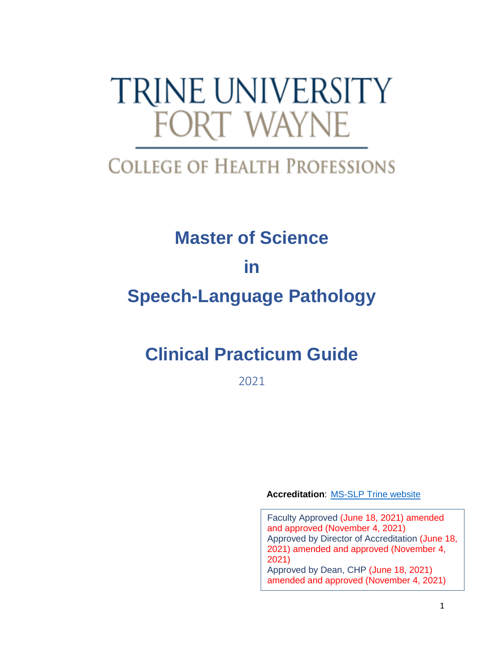# **TRINE UNIVERSITY FORT WAYNE**

## **COLLEGE OF HEALTH PROFESSIONS**

# **Master of Science in Speech-Language Pathology**

## **Clinical Practicum Guide**

2021

**Accreditation**: [MS-SLP Trine website](https://nam04.safelinks.protection.outlook.com/?url=https%3A%2F%2Fwww.trine.edu%2Facademics%2Fmajors-degrees%2Fgraduate%2Fmaster-speech-language-pathology%2Findex.aspx&data=04%7C01%7Clichtsinnc%40trine.edu%7Caa564ab5cecc4e99e01008d925d0bdf1%7C4fce493f17434d33bdec79e288863c19%7C0%7C0%7C637582400759090844%7CUnknown%7CTWFpbGZsb3d8eyJWIjoiMC4wLjAwMDAiLCJQIjoiV2luMzIiLCJBTiI6Ik1haWwiLCJXVCI6Mn0%3D%7C1000&sdata=HaW%2FEvGJc9O91F%2F3Z0ANWgh0%2FNZ3bsptsnw4VJS63I4%3D&reserved=0)

Faculty Approved (June 18, 2021) amended and approved (November 4, 2021) Approved by Director of Accreditation (June 18, 2021) amended and approved (November 4, 2021) Approved by Dean, CHP (June 18, 2021) amended and approved (November 4, 2021)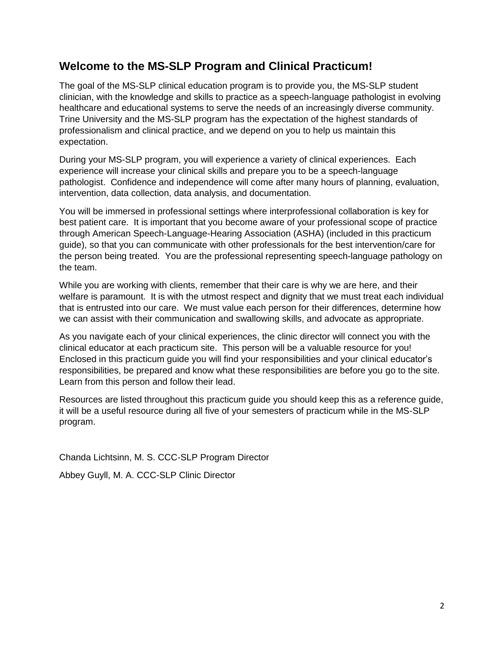## **Welcome to the MS-SLP Program and Clinical Practicum!**

The goal of the MS-SLP clinical education program is to provide you, the MS-SLP student clinician, with the knowledge and skills to practice as a speech-language pathologist in evolving healthcare and educational systems to serve the needs of an increasingly diverse community. Trine University and the MS-SLP program has the expectation of the highest standards of professionalism and clinical practice, and we depend on you to help us maintain this expectation.

During your MS-SLP program, you will experience a variety of clinical experiences. Each experience will increase your clinical skills and prepare you to be a speech-language pathologist. Confidence and independence will come after many hours of planning, evaluation, intervention, data collection, data analysis, and documentation.

You will be immersed in professional settings where interprofessional collaboration is key for best patient care. It is important that you become aware of your professional scope of practice through American Speech-Language-Hearing Association (ASHA) (included in this practicum guide), so that you can communicate with other professionals for the best intervention/care for the person being treated. You are the professional representing speech-language pathology on the team.

While you are working with clients, remember that their care is why we are here, and their welfare is paramount. It is with the utmost respect and dignity that we must treat each individual that is entrusted into our care. We must value each person for their differences, determine how we can assist with their communication and swallowing skills, and advocate as appropriate.

As you navigate each of your clinical experiences, the clinic director will connect you with the clinical educator at each practicum site. This person will be a valuable resource for you! Enclosed in this practicum guide you will find your responsibilities and your clinical educator's responsibilities, be prepared and know what these responsibilities are before you go to the site. Learn from this person and follow their lead.

Resources are listed throughout this practicum guide you should keep this as a reference guide, it will be a useful resource during all five of your semesters of practicum while in the MS-SLP program.

Chanda Lichtsinn, M. S. CCC-SLP Program Director

Abbey Guyll, M. A. CCC-SLP Clinic Director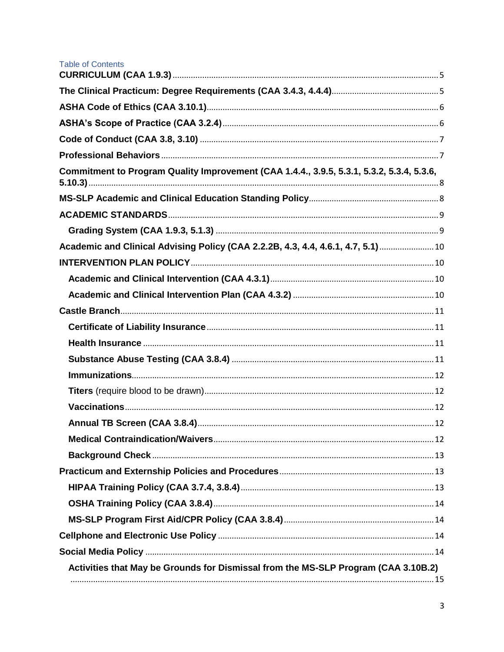| <b>Table of Contents</b>                                                                  |  |
|-------------------------------------------------------------------------------------------|--|
|                                                                                           |  |
|                                                                                           |  |
|                                                                                           |  |
|                                                                                           |  |
|                                                                                           |  |
| Commitment to Program Quality Improvement (CAA 1.4.4., 3.9.5, 5.3.1, 5.3.2, 5.3.4, 5.3.6, |  |
|                                                                                           |  |
|                                                                                           |  |
|                                                                                           |  |
| Academic and Clinical Advising Policy (CAA 2.2.2B, 4.3, 4.4, 4.6.1, 4.7, 5.1) 10          |  |
|                                                                                           |  |
|                                                                                           |  |
|                                                                                           |  |
|                                                                                           |  |
|                                                                                           |  |
|                                                                                           |  |
|                                                                                           |  |
|                                                                                           |  |
|                                                                                           |  |
|                                                                                           |  |
|                                                                                           |  |
|                                                                                           |  |
|                                                                                           |  |
|                                                                                           |  |
|                                                                                           |  |
|                                                                                           |  |
|                                                                                           |  |
|                                                                                           |  |
|                                                                                           |  |
| Activities that May be Grounds for Dismissal from the MS-SLP Program (CAA 3.10B.2)        |  |
|                                                                                           |  |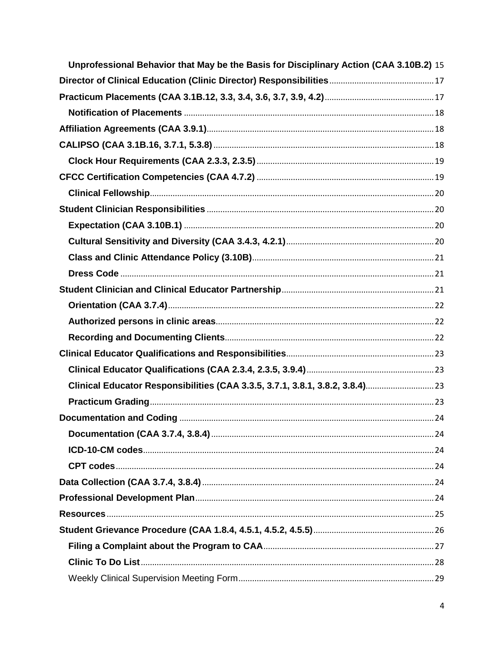| Unprofessional Behavior that May be the Basis for Disciplinary Action (CAA 3.10B.2) 15 |  |
|----------------------------------------------------------------------------------------|--|
|                                                                                        |  |
|                                                                                        |  |
|                                                                                        |  |
|                                                                                        |  |
|                                                                                        |  |
|                                                                                        |  |
|                                                                                        |  |
|                                                                                        |  |
|                                                                                        |  |
|                                                                                        |  |
|                                                                                        |  |
|                                                                                        |  |
|                                                                                        |  |
|                                                                                        |  |
|                                                                                        |  |
|                                                                                        |  |
|                                                                                        |  |
|                                                                                        |  |
|                                                                                        |  |
|                                                                                        |  |
|                                                                                        |  |
|                                                                                        |  |
|                                                                                        |  |
|                                                                                        |  |
|                                                                                        |  |
|                                                                                        |  |
|                                                                                        |  |
|                                                                                        |  |
|                                                                                        |  |
|                                                                                        |  |
|                                                                                        |  |
|                                                                                        |  |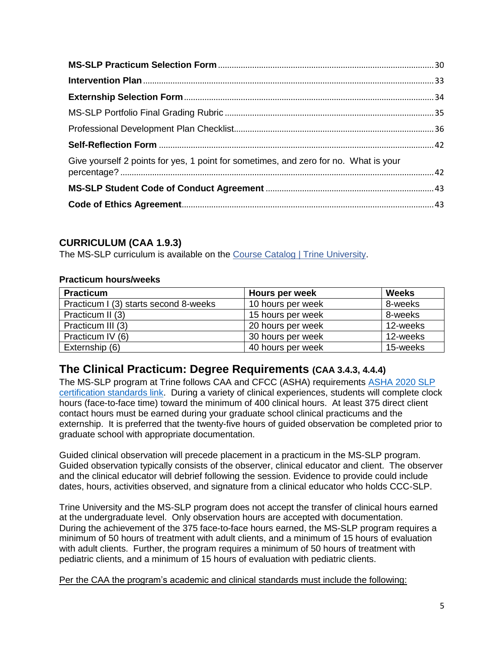| Give yourself 2 points for yes, 1 point for sometimes, and zero for no. What is your |  |
|--------------------------------------------------------------------------------------|--|
|                                                                                      |  |
|                                                                                      |  |

## <span id="page-4-0"></span>**CURRICULUM (CAA 1.9.3)**

The MS-SLP curriculum is available on the [Course Catalog | Trine University.](https://www.trine.edu/resources/registrar/course-catalog.aspx)

## **Practicum hours/weeks**

| <b>Practicum</b>                      | Hours per week    | <b>Weeks</b> |
|---------------------------------------|-------------------|--------------|
| Practicum I (3) starts second 8-weeks | 10 hours per week | 8-weeks      |
| Practicum II (3)                      | 15 hours per week | 8-weeks      |
| Practicum III (3)                     | 20 hours per week | 12-weeks     |
| Practicum IV (6)                      | 30 hours per week | 12-weeks     |
| Externship (6)                        | 40 hours per week | 15-weeks     |

## <span id="page-4-1"></span>**The Clinical Practicum: Degree Requirements (CAA 3.4.3, 4.4.4)**

The MS-SLP program at Trine follows CAA and CFCC (ASHA) requirements [ASHA 2020 SLP](https://www.asha.org/certification/2020-slp-certification-standards/)  [certification standards link.](https://www.asha.org/certification/2020-slp-certification-standards/) During a variety of clinical experiences, students will complete clock hours (face-to-face time) toward the minimum of 400 clinical hours. At least 375 direct client contact hours must be earned during your graduate school clinical practicums and the externship. It is preferred that the twenty-five hours of guided observation be completed prior to graduate school with appropriate documentation.

Guided clinical observation will precede placement in a practicum in the MS-SLP program. Guided observation typically consists of the observer, clinical educator and client. The observer and the clinical educator will debrief following the session. Evidence to provide could include dates, hours, activities observed, and signature from a clinical educator who holds CCC-SLP.

Trine University and the MS-SLP program does not accept the transfer of clinical hours earned at the undergraduate level. Only observation hours are accepted with documentation. During the achievement of the 375 face-to-face hours earned, the MS-SLP program requires a minimum of 50 hours of treatment with adult clients, and a minimum of 15 hours of evaluation with adult clients. Further, the program requires a minimum of 50 hours of treatment with pediatric clients, and a minimum of 15 hours of evaluation with pediatric clients.

Per the CAA the program's academic and clinical standards must include the following: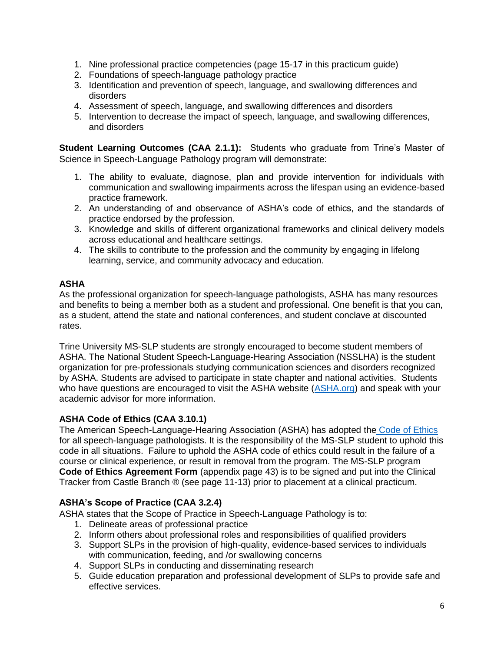- 1. Nine professional practice competencies (page 15-17 in this practicum guide)
- 2. Foundations of speech-language pathology practice
- 3. Identification and prevention of speech, language, and swallowing differences and disorders
- 4. Assessment of speech, language, and swallowing differences and disorders
- 5. Intervention to decrease the impact of speech, language, and swallowing differences, and disorders

**Student Learning Outcomes (CAA 2.1.1):** Students who graduate from Trine's Master of Science in Speech-Language Pathology program will demonstrate:

- 1. The ability to evaluate, diagnose, plan and provide intervention for individuals with communication and swallowing impairments across the lifespan using an evidence-based practice framework.
- 2. An understanding of and observance of ASHA's code of ethics, and the standards of practice endorsed by the profession.
- 3. Knowledge and skills of different organizational frameworks and clinical delivery models across educational and healthcare settings.
- 4. The skills to contribute to the profession and the community by engaging in lifelong learning, service, and community advocacy and education.

## **ASHA**

As the professional organization for speech-language pathologists, ASHA has many resources and benefits to being a member both as a student and professional. One benefit is that you can, as a student, attend the state and national conferences, and student conclave at discounted rates.

Trine University MS-SLP students are strongly encouraged to become student members of ASHA. The National Student Speech-Language-Hearing Association (NSSLHA) is the student organization for pre-professionals studying communication sciences and disorders recognized by ASHA. Students are advised to participate in state chapter and national activities. Students who have questions are encouraged to visit the ASHA website [\(ASHA.org\)](https://www.asha.org/) and speak with your academic advisor for more information.

## <span id="page-5-0"></span>**ASHA Code of Ethics (CAA 3.10.1)**

The American Speech-Language-Hearing Association (ASHA) has adopted the [Code of Ethics](https://www.asha.org/code-of-ethics/#:~:text=The%20ASHA%20Code%20of%20Ethics,making%20related%20to%20professional%20conduct) for all speech-language pathologists. It is the responsibility of the MS-SLP student to uphold this code in all situations. Failure to uphold the ASHA code of ethics could result in the failure of a course or clinical experience, or result in removal from the program. The MS-SLP program **Code of Ethics Agreement Form** (appendix page 43) is to be signed and put into the Clinical Tracker from Castle Branch ® (see page 11-13) prior to placement at a clinical practicum.

## <span id="page-5-1"></span>**ASHA's Scope of Practice (CAA 3.2.4)**

ASHA states that the Scope of Practice in Speech-Language Pathology is to:

- 1. Delineate areas of professional practice
- 2. Inform others about professional roles and responsibilities of qualified providers
- 3. Support SLPs in the provision of high-quality, evidence-based services to individuals with communication, feeding, and /or swallowing concerns
- 4. Support SLPs in conducting and disseminating research
- 5. Guide education preparation and professional development of SLPs to provide safe and effective services.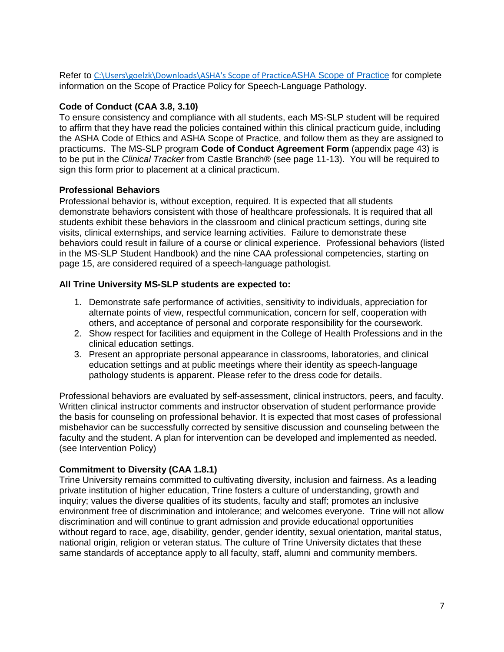Refer to [C:\Users\goelzk\Downloads\ASHA's Scope of Practice](file:///C:/Users/goelzk/Downloads/ASHA)[ASHA Scope of Practice](https://www.asha.org/policy/sp2016-00343/) for complete information on the Scope of Practice Policy for Speech-Language Pathology.

## <span id="page-6-0"></span>**Code of Conduct (CAA 3.8, 3.10)**

To ensure consistency and compliance with all students, each MS-SLP student will be required to affirm that they have read the policies contained within this clinical practicum guide, including the ASHA Code of Ethics and ASHA Scope of Practice, and follow them as they are assigned to practicums. The MS-SLP program **Code of Conduct Agreement Form** (appendix page 43) is to be put in the *Clinical Tracker* from Castle Branch® (see page 11-13). You will be required to sign this form prior to placement at a clinical practicum.

## <span id="page-6-1"></span>**Professional Behaviors**

Professional behavior is, without exception, required. It is expected that all students demonstrate behaviors consistent with those of healthcare professionals. It is required that all students exhibit these behaviors in the classroom and clinical practicum settings, during site visits, clinical externships, and service learning activities. Failure to demonstrate these behaviors could result in failure of a course or clinical experience. Professional behaviors (listed in the MS-SLP Student Handbook) and the nine CAA professional competencies, starting on page 15, are considered required of a speech-language pathologist.

## **All Trine University MS-SLP students are expected to:**

- 1. Demonstrate safe performance of activities, sensitivity to individuals, appreciation for alternate points of view, respectful communication, concern for self, cooperation with others, and acceptance of personal and corporate responsibility for the coursework.
- 2. Show respect for facilities and equipment in the College of Health Professions and in the clinical education settings.
- 3. Present an appropriate personal appearance in classrooms, laboratories, and clinical education settings and at public meetings where their identity as speech-language pathology students is apparent. Please refer to the dress code for details.

Professional behaviors are evaluated by self-assessment, clinical instructors, peers, and faculty. Written clinical instructor comments and instructor observation of student performance provide the basis for counseling on professional behavior. It is expected that most cases of professional misbehavior can be successfully corrected by sensitive discussion and counseling between the faculty and the student. A plan for intervention can be developed and implemented as needed. (see Intervention Policy)

## **Commitment to Diversity (CAA 1.8.1)**

Trine University remains committed to cultivating diversity, inclusion and fairness. As a leading private institution of higher education, Trine fosters a culture of understanding, growth and inquiry; values the diverse qualities of its students, faculty and staff; promotes an inclusive environment free of discrimination and intolerance; and welcomes everyone. Trine will not allow discrimination and will continue to grant admission and provide educational opportunities without regard to race, age, disability, gender, gender identity, sexual orientation, marital status, national origin, religion or veteran status. The culture of Trine University dictates that these same standards of acceptance apply to all faculty, staff, alumni and community members.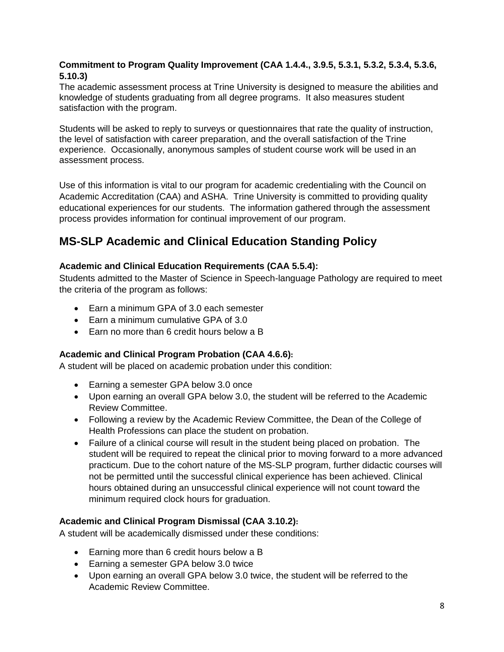## <span id="page-7-0"></span>**Commitment to Program Quality Improvement (CAA 1.4.4., 3.9.5, 5.3.1, 5.3.2, 5.3.4, 5.3.6, 5.10.3)**

The academic assessment process at Trine University is designed to measure the abilities and knowledge of students graduating from all degree programs. It also measures student satisfaction with the program.

Students will be asked to reply to surveys or questionnaires that rate the quality of instruction, the level of satisfaction with career preparation, and the overall satisfaction of the Trine experience. Occasionally, anonymous samples of student course work will be used in an assessment process.

Use of this information is vital to our program for academic credentialing with the Council on Academic Accreditation (CAA) and ASHA. Trine University is committed to providing quality educational experiences for our students. The information gathered through the assessment process provides information for continual improvement of our program.

## <span id="page-7-1"></span>**MS-SLP Academic and Clinical Education Standing Policy**

## **Academic and Clinical Education Requirements (CAA 5.5.4):**

Students admitted to the Master of Science in Speech-language Pathology are required to meet the criteria of the program as follows:

- Earn a minimum GPA of 3.0 each semester
- Farn a minimum cumulative GPA of 3.0
- Earn no more than 6 credit hours below a B

## **Academic and Clinical Program Probation (CAA 4.6.6):**

A student will be placed on academic probation under this condition:

- Earning a semester GPA below 3.0 once
- Upon earning an overall GPA below 3.0, the student will be referred to the Academic Review Committee.
- Following a review by the Academic Review Committee, the Dean of the College of Health Professions can place the student on probation.
- Failure of a clinical course will result in the student being placed on probation. The student will be required to repeat the clinical prior to moving forward to a more advanced practicum. Due to the cohort nature of the MS-SLP program, further didactic courses will not be permitted until the successful clinical experience has been achieved. Clinical hours obtained during an unsuccessful clinical experience will not count toward the minimum required clock hours for graduation.

## **Academic and Clinical Program Dismissal (CAA 3.10.2):**

A student will be academically dismissed under these conditions:

- Earning more than 6 credit hours below a B
- Earning a semester GPA below 3.0 twice
- Upon earning an overall GPA below 3.0 twice, the student will be referred to the Academic Review Committee.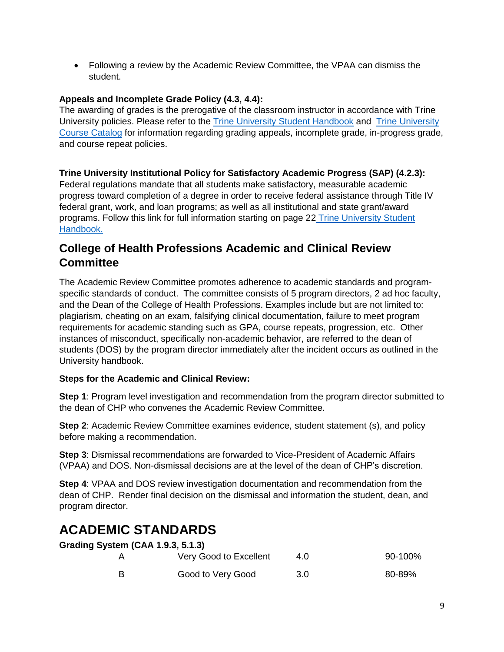• Following a review by the Academic Review Committee, the VPAA can dismiss the student.

## **Appeals and Incomplete Grade Policy (4.3, 4.4):**

The awarding of grades is the prerogative of the classroom instructor in accordance with Trine University policies. Please refer to the [Trine University Student Handbook](https://trine.edu/campus-life/documents/trinestudenthandbook_2021.pdf) and [Trine University](https://trine.edu/resources/registrar/course-catalog.aspx)  [Course Catalog](https://trine.edu/resources/registrar/course-catalog.aspx) for information regarding grading appeals, incomplete grade, in-progress grade, and course repeat policies.

## **Trine University Institutional Policy for Satisfactory Academic Progress (SAP) (4.2.3):**

Federal regulations mandate that all students make satisfactory, measurable academic progress toward completion of a degree in order to receive federal assistance through Title IV federal grant, work, and loan programs; as well as all institutional and state grant/award programs. Follow this link for full information starting on page 22 [Trine University Student](https://trine.edu/campus-life/documents/trinestudenthandbook_2021.pdf)  [Handbook.](https://trine.edu/campus-life/documents/trinestudenthandbook_2021.pdf)

## **College of Health Professions Academic and Clinical Review Committee**

The Academic Review Committee promotes adherence to academic standards and programspecific standards of conduct. The committee consists of 5 program directors, 2 ad hoc faculty, and the Dean of the College of Health Professions. Examples include but are not limited to: plagiarism, cheating on an exam, falsifying clinical documentation, failure to meet program requirements for academic standing such as GPA, course repeats, progression, etc. Other instances of misconduct, specifically non-academic behavior, are referred to the dean of students (DOS) by the program director immediately after the incident occurs as outlined in the University handbook.

## **Steps for the Academic and Clinical Review:**

**Step 1**: Program level investigation and recommendation from the program director submitted to the dean of CHP who convenes the Academic Review Committee.

**Step 2**: Academic Review Committee examines evidence, student statement (s), and policy before making a recommendation.

**Step 3**: Dismissal recommendations are forwarded to Vice-President of Academic Affairs (VPAA) and DOS. Non-dismissal decisions are at the level of the dean of CHP's discretion.

**Step 4:** VPAA and DOS review investigation documentation and recommendation from the dean of CHP. Render final decision on the dismissal and information the student, dean, and program director.

## <span id="page-8-0"></span>**ACADEMIC STANDARDS**

<span id="page-8-1"></span>

| Grading System (CAA 1.9.3, 5.1.3) |                        |     |         |
|-----------------------------------|------------------------|-----|---------|
|                                   | Very Good to Excellent | 4.0 | 90-100% |
| в                                 | Good to Very Good      | 3.0 | 80-89%  |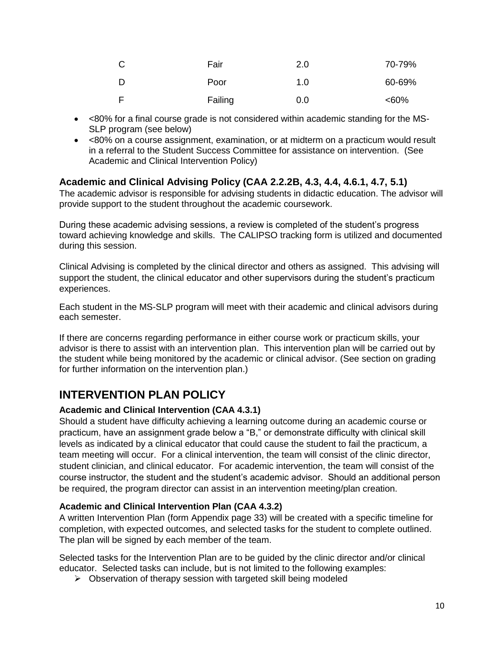| - C | Fair    | 2.0 | 70-79%  |
|-----|---------|-----|---------|
| - D | Poor    | 1.0 | 60-69%  |
| E   | Failing | 0.0 | $<60\%$ |

- <80% for a final course grade is not considered within academic standing for the MS-SLP program (see below)
- <80% on a course assignment, examination, or at midterm on a practicum would result in a referral to the Student Success Committee for assistance on intervention. (See Academic and Clinical Intervention Policy)

## <span id="page-9-0"></span>**Academic and Clinical Advising Policy (CAA 2.2.2B, 4.3, 4.4, 4.6.1, 4.7, 5.1)**

The academic advisor is responsible for advising students in didactic education. The advisor will provide support to the student throughout the academic coursework.

During these academic advising sessions, a review is completed of the student's progress toward achieving knowledge and skills. The CALIPSO tracking form is utilized and documented during this session.

Clinical Advising is completed by the clinical director and others as assigned. This advising will support the student, the clinical educator and other supervisors during the student's practicum experiences.

Each student in the MS-SLP program will meet with their academic and clinical advisors during each semester.

If there are concerns regarding performance in either course work or practicum skills, your advisor is there to assist with an intervention plan. This intervention plan will be carried out by the student while being monitored by the academic or clinical advisor. (See section on grading for further information on the intervention plan.)

## <span id="page-9-1"></span>**INTERVENTION PLAN POLICY**

## <span id="page-9-2"></span>**Academic and Clinical Intervention (CAA 4.3.1)**

Should a student have difficulty achieving a learning outcome during an academic course or practicum, have an assignment grade below a "B," or demonstrate difficulty with clinical skill levels as indicated by a clinical educator that could cause the student to fail the practicum, a team meeting will occur. For a clinical intervention, the team will consist of the clinic director, student clinician, and clinical educator. For academic intervention, the team will consist of the course instructor, the student and the student's academic advisor. Should an additional person be required, the program director can assist in an intervention meeting/plan creation.

## <span id="page-9-3"></span>**Academic and Clinical Intervention Plan (CAA 4.3.2)**

A written Intervention Plan (form Appendix page 33) will be created with a specific timeline for completion, with expected outcomes, and selected tasks for the student to complete outlined. The plan will be signed by each member of the team.

Selected tasks for the Intervention Plan are to be guided by the clinic director and/or clinical educator. Selected tasks can include, but is not limited to the following examples:

➢ Observation of therapy session with targeted skill being modeled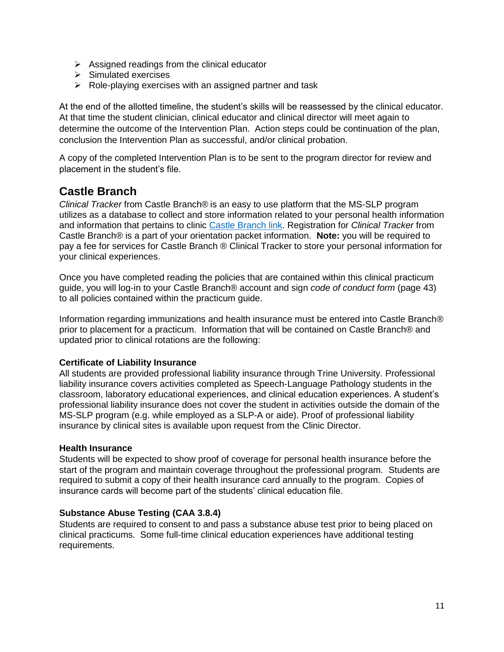- $\triangleright$  Assigned readings from the clinical educator
- ➢ Simulated exercises
- ➢ Role-playing exercises with an assigned partner and task

At the end of the allotted timeline, the student's skills will be reassessed by the clinical educator. At that time the student clinician, clinical educator and clinical director will meet again to determine the outcome of the Intervention Plan. Action steps could be continuation of the plan, conclusion the Intervention Plan as successful, and/or clinical probation.

A copy of the completed Intervention Plan is to be sent to the program director for review and placement in the student's file.

## <span id="page-10-0"></span>**Castle Branch**

*Clinical Tracker* from Castle Branch® is an easy to use platform that the MS-SLP program utilizes as a database to collect and store information related to your personal health information and information that pertains to clinic [Castle Branch link.](https://discover.castlebranch.com/) Registration for *Clinical Tracker* from Castle Branch® is a part of your orientation packet information. **Note:** you will be required to pay a fee for services for Castle Branch ® Clinical Tracker to store your personal information for your clinical experiences.

Once you have completed reading the policies that are contained within this clinical practicum guide, you will log-in to your Castle Branch® account and sign *code of conduct form* (page 43) to all policies contained within the practicum guide.

Information regarding immunizations and health insurance must be entered into Castle Branch® prior to placement for a practicum. Information that will be contained on Castle Branch® and updated prior to clinical rotations are the following:

## <span id="page-10-1"></span>**Certificate of Liability Insurance**

All students are provided professional liability insurance through Trine University. Professional liability insurance covers activities completed as Speech-Language Pathology students in the classroom, laboratory educational experiences, and clinical education experiences. A student's professional liability insurance does not cover the student in activities outside the domain of the MS-SLP program (e.g. while employed as a SLP-A or aide). Proof of professional liability insurance by clinical sites is available upon request from the Clinic Director.

## <span id="page-10-2"></span>**Health Insurance**

Students will be expected to show proof of coverage for personal health insurance before the start of the program and maintain coverage throughout the professional program. Students are required to submit a copy of their health insurance card annually to the program. Copies of insurance cards will become part of the students' clinical education file.

## <span id="page-10-3"></span>**Substance Abuse Testing (CAA 3.8.4)**

Students are required to consent to and pass a substance abuse test prior to being placed on clinical practicums. Some full-time clinical education experiences have additional testing requirements.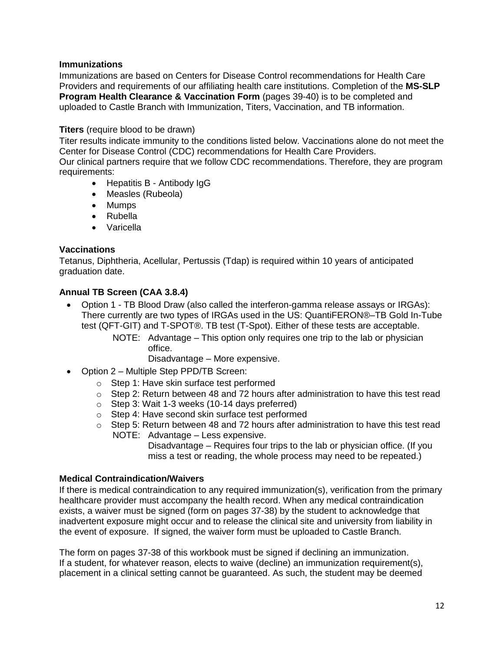## <span id="page-11-0"></span>**Immunizations**

Immunizations are based on Centers for Disease Control recommendations for Health Care Providers and requirements of our affiliating health care institutions. Completion of the **MS-SLP Program Health Clearance & Vaccination Form** (pages 39-40) is to be completed and uploaded to Castle Branch with Immunization, Titers, Vaccination, and TB information.

## <span id="page-11-1"></span>**Titers** (require blood to be drawn)

Titer results indicate immunity to the conditions listed below. Vaccinations alone do not meet the Center for Disease Control (CDC) recommendations for Health Care Providers.

Our clinical partners require that we follow CDC recommendations. Therefore, they are program requirements:

- Hepatitis B Antibody IgG
- Measles (Rubeola)
- Mumps
- Rubella
- Varicella

## <span id="page-11-2"></span>**Vaccinations**

Tetanus, Diphtheria, Acellular, Pertussis (Tdap) is required within 10 years of anticipated graduation date.

## <span id="page-11-3"></span>**Annual TB Screen (CAA 3.8.4)**

- Option 1 TB Blood Draw (also called the interferon-gamma release assays or IRGAs): There currently are two types of IRGAs used in the US: QuantiFERON®–TB Gold In-Tube test (QFT-GIT) and T-SPOT®. TB test (T-Spot). Either of these tests are acceptable.
	- NOTE: Advantage This option only requires one trip to the lab or physician office.

Disadvantage – More expensive.

- Option 2 Multiple Step PPD/TB Screen:
	- o Step 1: Have skin surface test performed
	- $\circ$  Step 2: Return between 48 and 72 hours after administration to have this test read
	- o Step 3: Wait 1-3 weeks (10-14 days preferred)
	- o Step 4: Have second skin surface test performed
	- o Step 5: Return between 48 and 72 hours after administration to have this test read NOTE: Advantage – Less expensive.

Disadvantage – Requires four trips to the lab or physician office. (If you miss a test or reading, the whole process may need to be repeated.)

## <span id="page-11-4"></span>**Medical Contraindication/Waivers**

If there is medical contraindication to any required immunization(s), verification from the primary healthcare provider must accompany the health record. When any medical contraindication exists, a waiver must be signed (form on pages 37-38) by the student to acknowledge that inadvertent exposure might occur and to release the clinical site and university from liability in the event of exposure. If signed, the waiver form must be uploaded to Castle Branch.

The form on pages 37-38 of this workbook must be signed if declining an immunization. If a student, for whatever reason, elects to waive (decline) an immunization requirement(s), placement in a clinical setting cannot be guaranteed. As such, the student may be deemed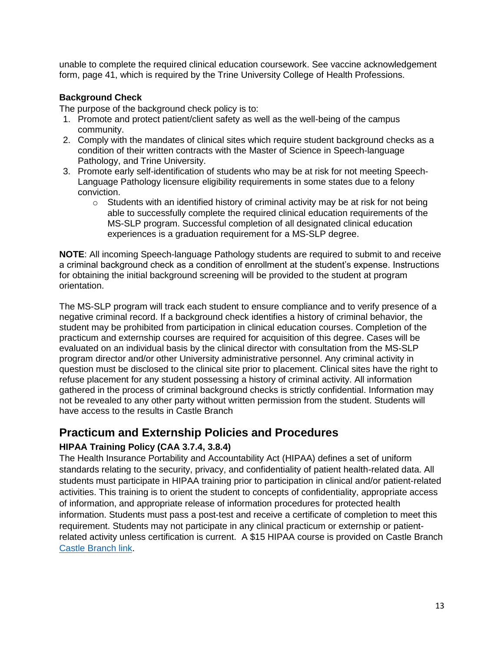unable to complete the required clinical education coursework. See vaccine acknowledgement form, page 41, which is required by the Trine University College of Health Professions.

## <span id="page-12-0"></span>**Background Check**

The purpose of the background check policy is to:

- 1. Promote and protect patient/client safety as well as the well-being of the campus community.
- 2. Comply with the mandates of clinical sites which require student background checks as a condition of their written contracts with the Master of Science in Speech-language Pathology, and Trine University.
- 3. Promote early self-identification of students who may be at risk for not meeting Speech-Language Pathology licensure eligibility requirements in some states due to a felony conviction.
	- $\circ$  Students with an identified history of criminal activity may be at risk for not being able to successfully complete the required clinical education requirements of the MS-SLP program. Successful completion of all designated clinical education experiences is a graduation requirement for a MS-SLP degree.

**NOTE**: All incoming Speech-language Pathology students are required to submit to and receive a criminal background check as a condition of enrollment at the student's expense. Instructions for obtaining the initial background screening will be provided to the student at program orientation.

The MS-SLP program will track each student to ensure compliance and to verify presence of a negative criminal record. If a background check identifies a history of criminal behavior, the student may be prohibited from participation in clinical education courses. Completion of the practicum and externship courses are required for acquisition of this degree. Cases will be evaluated on an individual basis by the clinical director with consultation from the MS-SLP program director and/or other University administrative personnel. Any criminal activity in question must be disclosed to the clinical site prior to placement. Clinical sites have the right to refuse placement for any student possessing a history of criminal activity. All information gathered in the process of criminal background checks is strictly confidential. Information may not be revealed to any other party without written permission from the student. Students will have access to the results in Castle Branch

## <span id="page-12-1"></span>**Practicum and Externship Policies and Procedures**

## <span id="page-12-2"></span>**HIPAA Training Policy (CAA 3.7.4, 3.8.4)**

The Health Insurance Portability and Accountability Act (HIPAA) defines a set of uniform standards relating to the security, privacy, and confidentiality of patient health-related data. All students must participate in HIPAA training prior to participation in clinical and/or patient-related activities. This training is to orient the student to concepts of confidentiality, appropriate access of information, and appropriate release of information procedures for protected health information. Students must pass a post-test and receive a certificate of completion to meet this requirement. Students may not participate in any clinical practicum or externship or patientrelated activity unless certification is current. A \$15 HIPAA course is provided on Castle Branch [Castle Branch link.](https://discover.castlebranch.com/)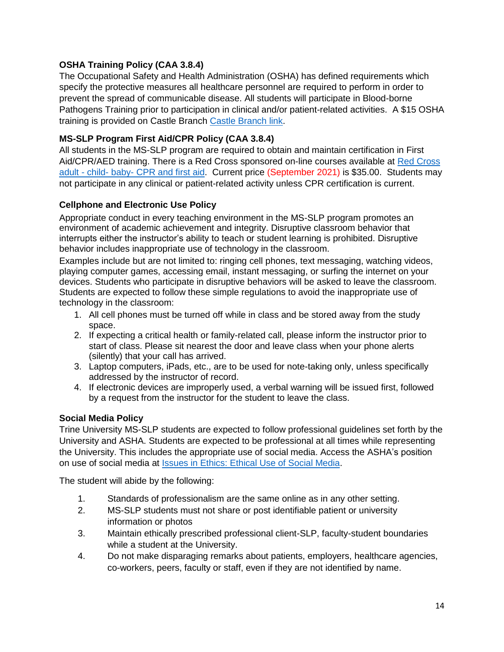## <span id="page-13-0"></span>**OSHA Training Policy (CAA 3.8.4)**

The Occupational Safety and Health Administration (OSHA) has defined requirements which specify the protective measures all healthcare personnel are required to perform in order to prevent the spread of communicable disease. All students will participate in Blood-borne Pathogens Training prior to participation in clinical and/or patient-related activities. A \$15 OSHA training is provided on Castle Branch [Castle Branch link.](https://discover.castlebranch.com/)

## <span id="page-13-1"></span>**MS-SLP Program First Aid/CPR Policy (CAA 3.8.4)**

All students in the MS-SLP program are required to obtain and maintain certification in First Aid/CPR/AED training. There is a Red Cross sponsored on-line courses available at [Red Cross](https://www.redcross.org/take-a-class/classes/adult-child-and-baby-first-aid%2Fcpr%2Faed-online/a6R0V0000015EUt.html)  adult - child- baby- [CPR and first aid.](https://www.redcross.org/take-a-class/classes/adult-child-and-baby-first-aid%2Fcpr%2Faed-online/a6R0V0000015EUt.html) Current price (September 2021) is \$35.00. Students may not participate in any clinical or patient-related activity unless CPR certification is current.

## <span id="page-13-2"></span>**Cellphone and Electronic Use Policy**

Appropriate conduct in every teaching environment in the MS-SLP program promotes an environment of academic achievement and integrity. Disruptive classroom behavior that interrupts either the instructor's ability to teach or student learning is prohibited. Disruptive behavior includes inappropriate use of technology in the classroom.

Examples include but are not limited to: ringing cell phones, text messaging, watching videos, playing computer games, accessing email, instant messaging, or surfing the internet on your devices. Students who participate in disruptive behaviors will be asked to leave the classroom. Students are expected to follow these simple regulations to avoid the inappropriate use of technology in the classroom:

- 1. All cell phones must be turned off while in class and be stored away from the study space.
- 2. If expecting a critical health or family-related call, please inform the instructor prior to start of class. Please sit nearest the door and leave class when your phone alerts (silently) that your call has arrived.
- 3. Laptop computers, iPads, etc., are to be used for note-taking only, unless specifically addressed by the instructor of record.
- 4. If electronic devices are improperly used, a verbal warning will be issued first, followed by a request from the instructor for the student to leave the class.

## <span id="page-13-3"></span>**Social Media Policy**

Trine University MS-SLP students are expected to follow professional guidelines set forth by the University and ASHA. Students are expected to be professional at all times while representing the University. This includes the appropriate use of social media. Access the ASHA's position on use of social media at [Issues in Ethics: Ethical Use of Social Media.](https://www.asha.org/practice/ethics/ethical-use-of-social-media/)

The student will abide by the following:

- 1. Standards of professionalism are the same online as in any other setting.
- 2. MS-SLP students must not share or post identifiable patient or university information or photos
- 3. Maintain ethically prescribed professional client-SLP, faculty-student boundaries while a student at the University.
- 4. Do not make disparaging remarks about patients, employers, healthcare agencies, co-workers, peers, faculty or staff, even if they are not identified by name.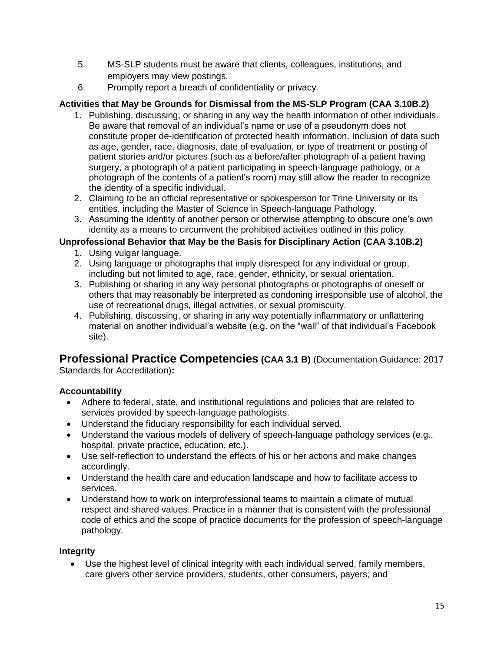- 5. MS-SLP students must be aware that clients, colleagues, institutions, and employers may view postings.
- 6. Promptly report a breach of confidentiality or privacy.

## <span id="page-14-0"></span>**Activities that May be Grounds for Dismissal from the MS-SLP Program (CAA 3.10B.2)**

- 1. Publishing, discussing, or sharing in any way the health information of other individuals. Be aware that removal of an individual's name or use of a pseudonym does not constitute proper de-identification of protected health information. Inclusion of data such as age, gender, race, diagnosis, date of evaluation, or type of treatment or posting of patient stories and/or pictures (such as a before/after photograph of a patient having surgery, a photograph of a patient participating in speech-language pathology, or a photograph of the contents of a patient's room) may still allow the reader to recognize the identity of a specific individual.
- 2. Claiming to be an official representative or spokesperson for Trine University or its entities, including the Master of Science in Speech-language Pathology.
- 3. Assuming the identity of another person or otherwise attempting to obscure one's own identity as a means to circumvent the prohibited activities outlined in this policy.

## <span id="page-14-1"></span>**Unprofessional Behavior that May be the Basis for Disciplinary Action (CAA 3.10B.2)**

- 1. Using vulgar language.
- 2. Using language or photographs that imply disrespect for any individual or group, including but not limited to age, race, gender, ethnicity, or sexual orientation.
- 3. Publishing or sharing in any way personal photographs or photographs of oneself or others that may reasonably be interpreted as condoning irresponsible use of alcohol, the use of recreational drugs, illegal activities, or sexual promiscuity.
- 4. Publishing, discussing, or sharing in any way potentially inflammatory or unflattering material on another individual's website (e.g. on the "wall" of that individual's Facebook site).

## **Professional Practice Competencies (CAA 3.1 B)** (Documentation Guidance: 2017

Standards for Accreditation)**:**

## **Accountability**

- Adhere to federal, state, and institutional regulations and policies that are related to services provided by speech-language pathologists.
- Understand the fiduciary responsibility for each individual served.
- Understand the various models of delivery of speech-language pathology services (e.g., hospital, private practice, education, etc.).
- Use self-reflection to understand the effects of his or her actions and make changes accordingly.
- Understand the health care and education landscape and how to facilitate access to services.
- Understand how to work on interprofessional teams to maintain a climate of mutual respect and shared values. Practice in a manner that is consistent with the professional code of ethics and the scope of practice documents for the profession of speech-language pathology.

## **Integrity**

• Use the highest level of clinical integrity with each individual served, family members, care givers other service providers, students, other consumers, payers; and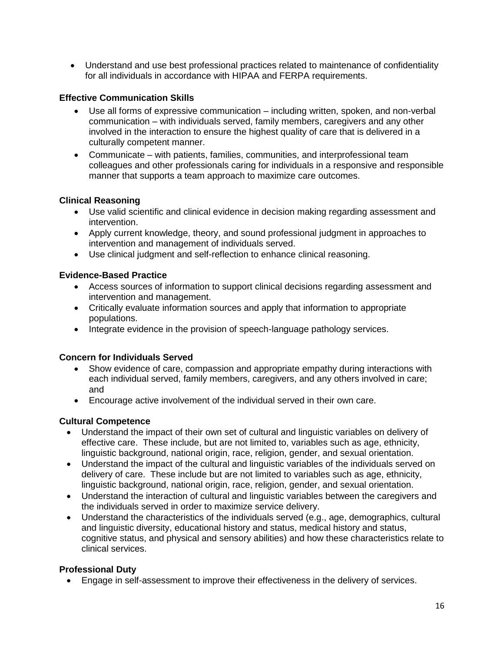• Understand and use best professional practices related to maintenance of confidentiality for all individuals in accordance with HIPAA and FERPA requirements.

## **Effective Communication Skills**

- Use all forms of expressive communication including written, spoken, and non-verbal communication – with individuals served, family members, caregivers and any other involved in the interaction to ensure the highest quality of care that is delivered in a culturally competent manner.
- Communicate with patients, families, communities, and interprofessional team colleagues and other professionals caring for individuals in a responsive and responsible manner that supports a team approach to maximize care outcomes.

## **Clinical Reasoning**

- Use valid scientific and clinical evidence in decision making regarding assessment and intervention.
- Apply current knowledge, theory, and sound professional judgment in approaches to intervention and management of individuals served.
- Use clinical judgment and self-reflection to enhance clinical reasoning.

## **Evidence-Based Practice**

- Access sources of information to support clinical decisions regarding assessment and intervention and management.
- Critically evaluate information sources and apply that information to appropriate populations.
- Integrate evidence in the provision of speech-language pathology services.

## **Concern for Individuals Served**

- Show evidence of care, compassion and appropriate empathy during interactions with each individual served, family members, caregivers, and any others involved in care; and
- Encourage active involvement of the individual served in their own care.

## **Cultural Competence**

- Understand the impact of their own set of cultural and linguistic variables on delivery of effective care. These include, but are not limited to, variables such as age, ethnicity, linguistic background, national origin, race, religion, gender, and sexual orientation.
- Understand the impact of the cultural and linguistic variables of the individuals served on delivery of care. These include but are not limited to variables such as age, ethnicity, linguistic background, national origin, race, religion, gender, and sexual orientation.
- Understand the interaction of cultural and linguistic variables between the caregivers and the individuals served in order to maximize service delivery.
- Understand the characteristics of the individuals served (e.g., age, demographics, cultural and linguistic diversity, educational history and status, medical history and status, cognitive status, and physical and sensory abilities) and how these characteristics relate to clinical services.

## **Professional Duty**

• Engage in self-assessment to improve their effectiveness in the delivery of services.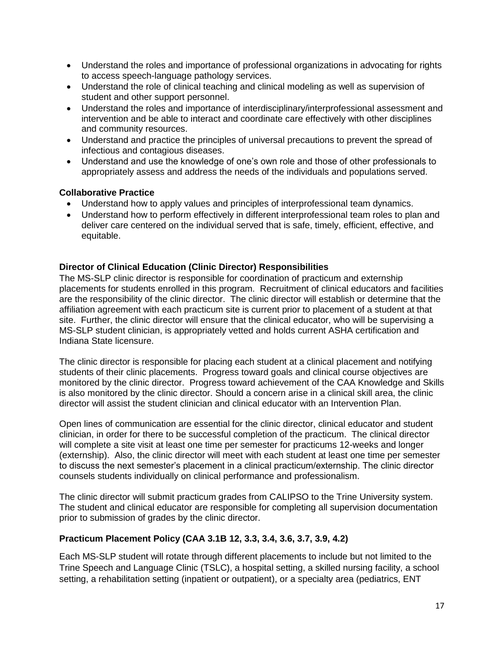- Understand the roles and importance of professional organizations in advocating for rights to access speech-language pathology services.
- Understand the role of clinical teaching and clinical modeling as well as supervision of student and other support personnel.
- Understand the roles and importance of interdisciplinary/interprofessional assessment and intervention and be able to interact and coordinate care effectively with other disciplines and community resources.
- Understand and practice the principles of universal precautions to prevent the spread of infectious and contagious diseases.
- Understand and use the knowledge of one's own role and those of other professionals to appropriately assess and address the needs of the individuals and populations served.

## **Collaborative Practice**

- Understand how to apply values and principles of interprofessional team dynamics.
- Understand how to perform effectively in different interprofessional team roles to plan and deliver care centered on the individual served that is safe, timely, efficient, effective, and equitable.

#### <span id="page-16-0"></span>**Director of Clinical Education (Clinic Director) Responsibilities**

The MS-SLP clinic director is responsible for coordination of practicum and externship placements for students enrolled in this program. Recruitment of clinical educators and facilities are the responsibility of the clinic director. The clinic director will establish or determine that the affiliation agreement with each practicum site is current prior to placement of a student at that site. Further, the clinic director will ensure that the clinical educator, who will be supervising a MS-SLP student clinician, is appropriately vetted and holds current ASHA certification and Indiana State licensure.

The clinic director is responsible for placing each student at a clinical placement and notifying students of their clinic placements. Progress toward goals and clinical course objectives are monitored by the clinic director. Progress toward achievement of the CAA Knowledge and Skills is also monitored by the clinic director. Should a concern arise in a clinical skill area, the clinic director will assist the student clinician and clinical educator with an Intervention Plan.

Open lines of communication are essential for the clinic director, clinical educator and student clinician, in order for there to be successful completion of the practicum. The clinical director will complete a site visit at least one time per semester for practicums 12-weeks and longer (externship). Also, the clinic director will meet with each student at least one time per semester to discuss the next semester's placement in a clinical practicum/externship. The clinic director counsels students individually on clinical performance and professionalism.

The clinic director will submit practicum grades from CALIPSO to the Trine University system. The student and clinical educator are responsible for completing all supervision documentation prior to submission of grades by the clinic director.

## <span id="page-16-1"></span>**Practicum Placement Policy (CAA 3.1B 12, 3.3, 3.4, 3.6, 3.7, 3.9, 4.2)**

Each MS-SLP student will rotate through different placements to include but not limited to the Trine Speech and Language Clinic (TSLC), a hospital setting, a skilled nursing facility, a school setting, a rehabilitation setting (inpatient or outpatient), or a specialty area (pediatrics, ENT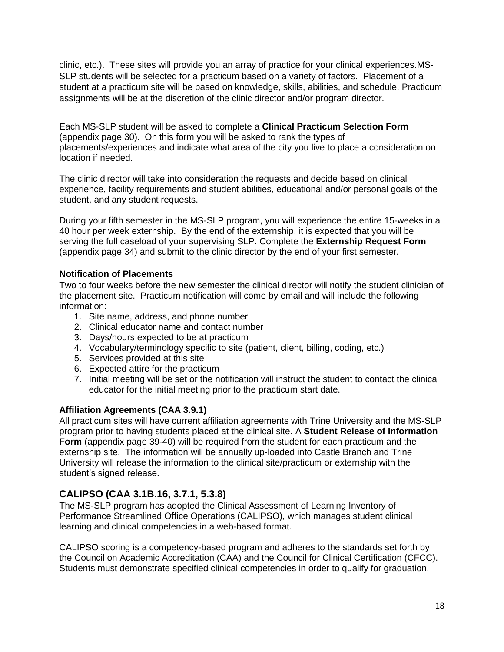clinic, etc.). These sites will provide you an array of practice for your clinical experiences.MS-SLP students will be selected for a practicum based on a variety of factors. Placement of a student at a practicum site will be based on knowledge, skills, abilities, and schedule. Practicum assignments will be at the discretion of the clinic director and/or program director.

Each MS-SLP student will be asked to complete a **Clinical Practicum Selection Form** (appendix page 30). On this form you will be asked to rank the types of placements/experiences and indicate what area of the city you live to place a consideration on location if needed.

The clinic director will take into consideration the requests and decide based on clinical experience, facility requirements and student abilities, educational and/or personal goals of the student, and any student requests.

During your fifth semester in the MS-SLP program, you will experience the entire 15-weeks in a 40 hour per week externship. By the end of the externship, it is expected that you will be serving the full caseload of your supervising SLP. Complete the **Externship Request Form** (appendix page 34) and submit to the clinic director by the end of your first semester.

## <span id="page-17-0"></span>**Notification of Placements**

Two to four weeks before the new semester the clinical director will notify the student clinician of the placement site. Practicum notification will come by email and will include the following information:

- 1. Site name, address, and phone number
- 2. Clinical educator name and contact number
- 3. Days/hours expected to be at practicum
- 4. Vocabulary/terminology specific to site (patient, client, billing, coding, etc.)
- 5. Services provided at this site
- 6. Expected attire for the practicum
- 7. Initial meeting will be set or the notification will instruct the student to contact the clinical educator for the initial meeting prior to the practicum start date.

## <span id="page-17-1"></span>**Affiliation Agreements (CAA 3.9.1)**

All practicum sites will have current affiliation agreements with Trine University and the MS-SLP program prior to having students placed at the clinical site. A **Student Release of Information Form** (appendix page 39-40) will be required from the student for each practicum and the externship site. The information will be annually up-loaded into Castle Branch and Trine University will release the information to the clinical site/practicum or externship with the student's signed release.

## <span id="page-17-2"></span>**CALIPSO (CAA 3.1B.16, 3.7.1, 5.3.8)**

The MS-SLP program has adopted the Clinical Assessment of Learning Inventory of Performance Streamlined Office Operations (CALIPSO), which manages student clinical learning and clinical competencies in a web-based format.

CALIPSO scoring is a competency-based program and adheres to the standards set forth by the Council on Academic Accreditation (CAA) and the Council for Clinical Certification (CFCC). Students must demonstrate specified clinical competencies in order to qualify for graduation.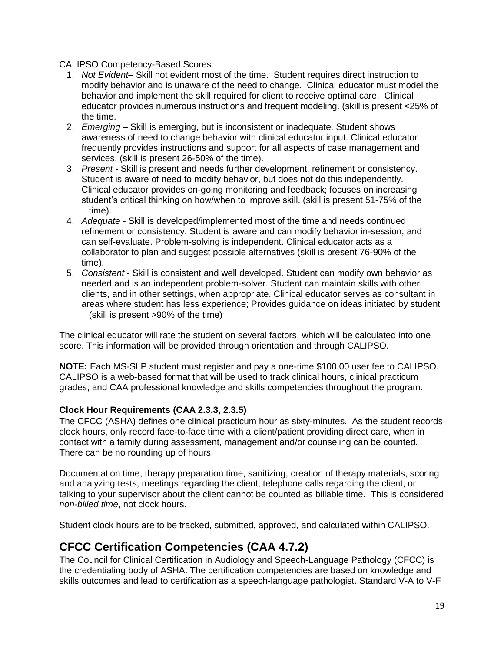CALIPSO Competency-Based Scores:

- 1. *Not Evident* Skill not evident most of the time. Student requires direct instruction to modify behavior and is unaware of the need to change. Clinical educator must model the behavior and implement the skill required for client to receive optimal care. Clinical educator provides numerous instructions and frequent modeling. (skill is present <25% of the time.
- 2. *Emerging* Skill is emerging, but is inconsistent or inadequate. Student shows awareness of need to change behavior with clinical educator input. Clinical educator frequently provides instructions and support for all aspects of case management and services. (skill is present 26-50% of the time).
- 3. *Present* Skill is present and needs further development, refinement or consistency. Student is aware of need to modify behavior, but does not do this independently. Clinical educator provides on-going monitoring and feedback; focuses on increasing student's critical thinking on how/when to improve skill. (skill is present 51-75% of the time).
- 4. *Adequate*  Skill is developed/implemented most of the time and needs continued refinement or consistency. Student is aware and can modify behavior in-session, and can self-evaluate. Problem-solving is independent. Clinical educator acts as a collaborator to plan and suggest possible alternatives (skill is present 76-90% of the time).
- 5. *Consistent* Skill is consistent and well developed. Student can modify own behavior as needed and is an independent problem-solver. Student can maintain skills with other clients, and in other settings, when appropriate. Clinical educator serves as consultant in areas where student has less experience; Provides guidance on ideas initiated by student (skill is present >90% of the time)

The clinical educator will rate the student on several factors, which will be calculated into one score. This information will be provided through orientation and through CALIPSO.

**NOTE:** Each MS-SLP student must register and pay a one-time \$100.00 user fee to CALIPSO. CALIPSO is a web-based format that will be used to track clinical hours, clinical practicum grades, and CAA professional knowledge and skills competencies throughout the program.

## <span id="page-18-0"></span>**Clock Hour Requirements (CAA 2.3.3, 2.3.5)**

The CFCC (ASHA) defines one clinical practicum hour as sixty-minutes. As the student records clock hours, only record face-to-face time with a client/patient providing direct care, when in contact with a family during assessment, management and/or counseling can be counted. There can be no rounding up of hours.

Documentation time, therapy preparation time, sanitizing, creation of therapy materials, scoring and analyzing tests, meetings regarding the client, telephone calls regarding the client, or talking to your supervisor about the client cannot be counted as billable time. This is considered *non-billed time*, not clock hours.

Student clock hours are to be tracked, submitted, approved, and calculated within CALIPSO.

## <span id="page-18-1"></span>**CFCC Certification Competencies (CAA 4.7.2)**

The Council for Clinical Certification in Audiology and Speech-Language Pathology (CFCC) is the credentialing body of ASHA. The certification competencies are based on knowledge and skills outcomes and lead to certification as a speech-language pathologist. Standard V-A to V-F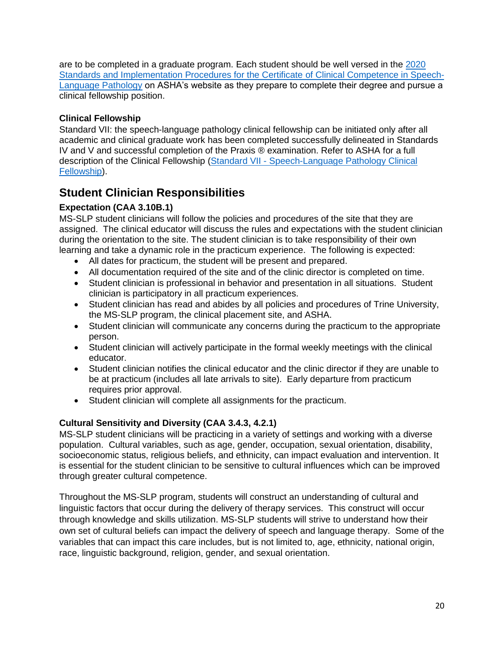are to be completed in a graduate program. Each student should be well versed in the [2020](https://www.asha.org/certification/2020-slp-certification-standards/)  [Standards and Implementation Procedures for the Certificate](https://www.asha.org/certification/2020-slp-certification-standards/) of Clinical Competence in Speech-[Language Pathology](https://www.asha.org/certification/2020-slp-certification-standards/) on ASHA's website as they prepare to complete their degree and pursue a clinical fellowship position.

## <span id="page-19-0"></span>**Clinical Fellowship**

Standard VII: the speech-language pathology clinical fellowship can be initiated only after all academic and clinical graduate work has been completed successfully delineated in Standards IV and V and successful completion of the Praxis ® examination. Refer to ASHA for a full description of the Clinical Fellowship (Standard VII - [Speech-Language Pathology Clinical](https://www.asha.org/certification/2020-slp-certification-standards/)  [Fellowship\)](https://www.asha.org/certification/2020-slp-certification-standards/).

## <span id="page-19-1"></span>**Student Clinician Responsibilities**

## <span id="page-19-2"></span>**Expectation (CAA 3.10B.1)**

MS-SLP student clinicians will follow the policies and procedures of the site that they are assigned. The clinical educator will discuss the rules and expectations with the student clinician during the orientation to the site. The student clinician is to take responsibility of their own learning and take a dynamic role in the practicum experience. The following is expected:

- All dates for practicum, the student will be present and prepared.
- All documentation required of the site and of the clinic director is completed on time.
- Student clinician is professional in behavior and presentation in all situations. Student clinician is participatory in all practicum experiences.
- Student clinician has read and abides by all policies and procedures of Trine University, the MS-SLP program, the clinical placement site, and ASHA.
- Student clinician will communicate any concerns during the practicum to the appropriate person.
- Student clinician will actively participate in the formal weekly meetings with the clinical educator.
- Student clinician notifies the clinical educator and the clinic director if they are unable to be at practicum (includes all late arrivals to site). Early departure from practicum requires prior approval.
- Student clinician will complete all assignments for the practicum.

## <span id="page-19-3"></span>**Cultural Sensitivity and Diversity (CAA 3.4.3, 4.2.1)**

MS-SLP student clinicians will be practicing in a variety of settings and working with a diverse population. Cultural variables, such as age, gender, occupation, sexual orientation, disability, socioeconomic status, religious beliefs, and ethnicity, can impact evaluation and intervention. It is essential for the student clinician to be sensitive to cultural influences which can be improved through greater cultural competence.

Throughout the MS-SLP program, students will construct an understanding of cultural and linguistic factors that occur during the delivery of therapy services. This construct will occur through knowledge and skills utilization. MS-SLP students will strive to understand how their own set of cultural beliefs can impact the delivery of speech and language therapy. Some of the variables that can impact this care includes, but is not limited to, age, ethnicity, national origin, race, linguistic background, religion, gender, and sexual orientation.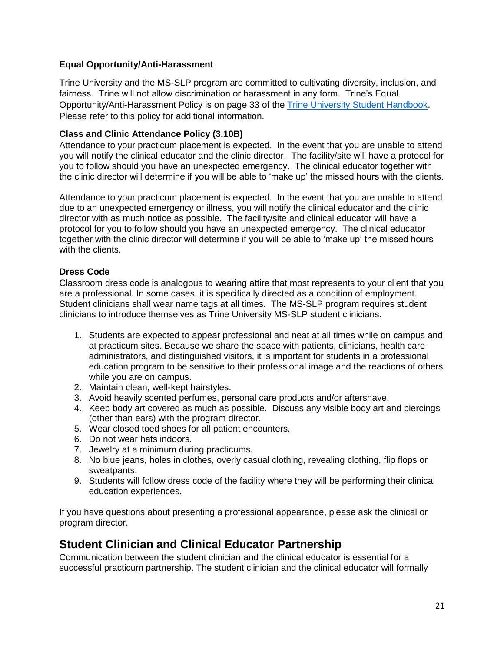## **Equal Opportunity/Anti-Harassment**

Trine University and the MS-SLP program are committed to cultivating diversity, inclusion, and fairness. Trine will not allow discrimination or harassment in any form. Trine's Equal Opportunity/Anti-Harassment Policy is on page 33 of the [Trine University Student Handbook.](https://trine.edu/campus-life/documents/trinestudenthandbook_2021.pdf) Please refer to this policy for additional information.

## <span id="page-20-0"></span>**Class and Clinic Attendance Policy (3.10B)**

Attendance to your practicum placement is expected. In the event that you are unable to attend you will notify the clinical educator and the clinic director. The facility/site will have a protocol for you to follow should you have an unexpected emergency. The clinical educator together with the clinic director will determine if you will be able to 'make up' the missed hours with the clients.

Attendance to your practicum placement is expected. In the event that you are unable to attend due to an unexpected emergency or illness, you will notify the clinical educator and the clinic director with as much notice as possible. The facility/site and clinical educator will have a protocol for you to follow should you have an unexpected emergency. The clinical educator together with the clinic director will determine if you will be able to 'make up' the missed hours with the clients.

## <span id="page-20-1"></span>**Dress Code**

Classroom dress code is analogous to wearing attire that most represents to your client that you are a professional. In some cases, it is specifically directed as a condition of employment. Student clinicians shall wear name tags at all times. The MS-SLP program requires student clinicians to introduce themselves as Trine University MS-SLP student clinicians.

- 1. Students are expected to appear professional and neat at all times while on campus and at practicum sites. Because we share the space with patients, clinicians, health care administrators, and distinguished visitors, it is important for students in a professional education program to be sensitive to their professional image and the reactions of others while you are on campus.
- 2. Maintain clean, well-kept hairstyles.
- 3. Avoid heavily scented perfumes, personal care products and/or aftershave.
- 4. Keep body art covered as much as possible. Discuss any visible body art and piercings (other than ears) with the program director.
- 5. Wear closed toed shoes for all patient encounters.
- 6. Do not wear hats indoors.
- 7. Jewelry at a minimum during practicums.
- 8. No blue jeans, holes in clothes, overly casual clothing, revealing clothing, flip flops or sweatpants.
- 9. Students will follow dress code of the facility where they will be performing their clinical education experiences.

If you have questions about presenting a professional appearance, please ask the clinical or program director.

## <span id="page-20-2"></span>**Student Clinician and Clinical Educator Partnership**

Communication between the student clinician and the clinical educator is essential for a successful practicum partnership. The student clinician and the clinical educator will formally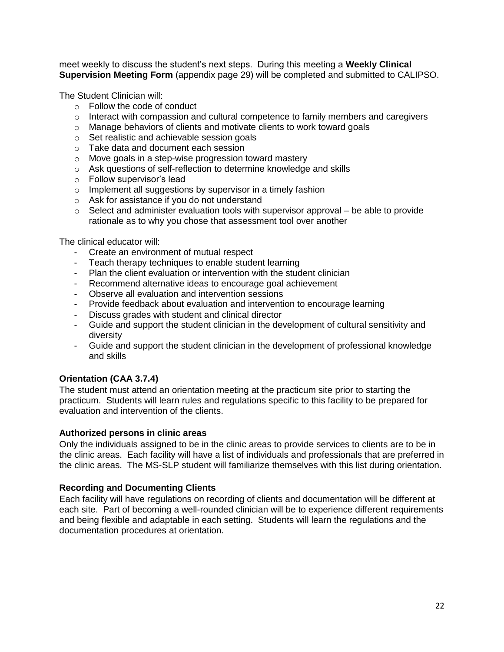meet weekly to discuss the student's next steps. During this meeting a **Weekly Clinical Supervision Meeting Form** (appendix page 29) will be completed and submitted to CALIPSO.

The Student Clinician will:

- o Follow the code of conduct
- $\circ$  Interact with compassion and cultural competence to family members and caregivers
- o Manage behaviors of clients and motivate clients to work toward goals
- o Set realistic and achievable session goals
- o Take data and document each session
- o Move goals in a step-wise progression toward mastery
- o Ask questions of self-reflection to determine knowledge and skills
- o Follow supervisor's lead
- o Implement all suggestions by supervisor in a timely fashion
- o Ask for assistance if you do not understand
- $\circ$  Select and administer evaluation tools with supervisor approval be able to provide rationale as to why you chose that assessment tool over another

The clinical educator will:

- Create an environment of mutual respect
- Teach therapy techniques to enable student learning
- Plan the client evaluation or intervention with the student clinician
- Recommend alternative ideas to encourage goal achievement
- Observe all evaluation and intervention sessions
- Provide feedback about evaluation and intervention to encourage learning
- Discuss grades with student and clinical director
- Guide and support the student clinician in the development of cultural sensitivity and diversity
- Guide and support the student clinician in the development of professional knowledge and skills

## <span id="page-21-0"></span>**Orientation (CAA 3.7.4)**

The student must attend an orientation meeting at the practicum site prior to starting the practicum. Students will learn rules and regulations specific to this facility to be prepared for evaluation and intervention of the clients.

#### <span id="page-21-1"></span>**Authorized persons in clinic areas**

Only the individuals assigned to be in the clinic areas to provide services to clients are to be in the clinic areas. Each facility will have a list of individuals and professionals that are preferred in the clinic areas. The MS-SLP student will familiarize themselves with this list during orientation.

#### <span id="page-21-2"></span>**Recording and Documenting Clients**

Each facility will have regulations on recording of clients and documentation will be different at each site. Part of becoming a well-rounded clinician will be to experience different requirements and being flexible and adaptable in each setting. Students will learn the regulations and the documentation procedures at orientation.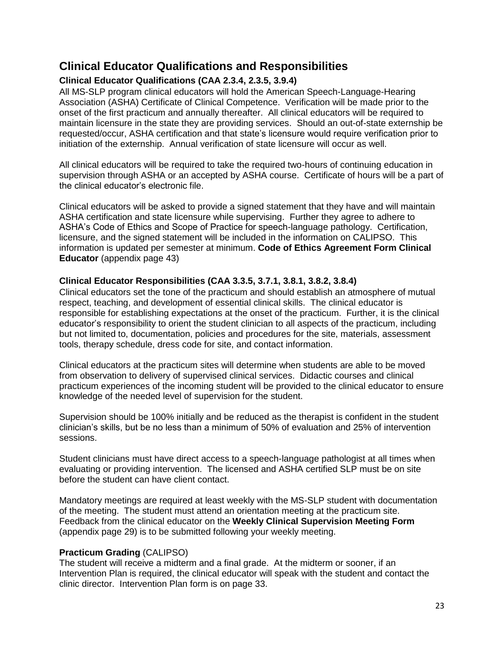## <span id="page-22-0"></span>**Clinical Educator Qualifications and Responsibilities**

## <span id="page-22-1"></span>**Clinical Educator Qualifications (CAA 2.3.4, 2.3.5, 3.9.4)**

All MS-SLP program clinical educators will hold the American Speech-Language-Hearing Association (ASHA) Certificate of Clinical Competence. Verification will be made prior to the onset of the first practicum and annually thereafter. All clinical educators will be required to maintain licensure in the state they are providing services. Should an out-of-state externship be requested/occur, ASHA certification and that state's licensure would require verification prior to initiation of the externship. Annual verification of state licensure will occur as well.

All clinical educators will be required to take the required two-hours of continuing education in supervision through ASHA or an accepted by ASHA course. Certificate of hours will be a part of the clinical educator's electronic file.

Clinical educators will be asked to provide a signed statement that they have and will maintain ASHA certification and state licensure while supervising. Further they agree to adhere to ASHA's Code of Ethics and Scope of Practice for speech-language pathology. Certification, licensure, and the signed statement will be included in the information on CALIPSO. This information is updated per semester at minimum. **Code of Ethics Agreement Form Clinical Educator** (appendix page 43)

## <span id="page-22-2"></span>**Clinical Educator Responsibilities (CAA 3.3.5, 3.7.1, 3.8.1, 3.8.2, 3.8.4)**

Clinical educators set the tone of the practicum and should establish an atmosphere of mutual respect, teaching, and development of essential clinical skills. The clinical educator is responsible for establishing expectations at the onset of the practicum. Further, it is the clinical educator's responsibility to orient the student clinician to all aspects of the practicum, including but not limited to, documentation, policies and procedures for the site, materials, assessment tools, therapy schedule, dress code for site, and contact information.

Clinical educators at the practicum sites will determine when students are able to be moved from observation to delivery of supervised clinical services. Didactic courses and clinical practicum experiences of the incoming student will be provided to the clinical educator to ensure knowledge of the needed level of supervision for the student.

Supervision should be 100% initially and be reduced as the therapist is confident in the student clinician's skills, but be no less than a minimum of 50% of evaluation and 25% of intervention sessions.

Student clinicians must have direct access to a speech-language pathologist at all times when evaluating or providing intervention. The licensed and ASHA certified SLP must be on site before the student can have client contact.

Mandatory meetings are required at least weekly with the MS-SLP student with documentation of the meeting. The student must attend an orientation meeting at the practicum site. Feedback from the clinical educator on the **Weekly Clinical Supervision Meeting Form** (appendix page 29) is to be submitted following your weekly meeting.

## <span id="page-22-3"></span>**Practicum Grading** (CALIPSO)

The student will receive a midterm and a final grade. At the midterm or sooner, if an Intervention Plan is required, the clinical educator will speak with the student and contact the clinic director. Intervention Plan form is on page 33.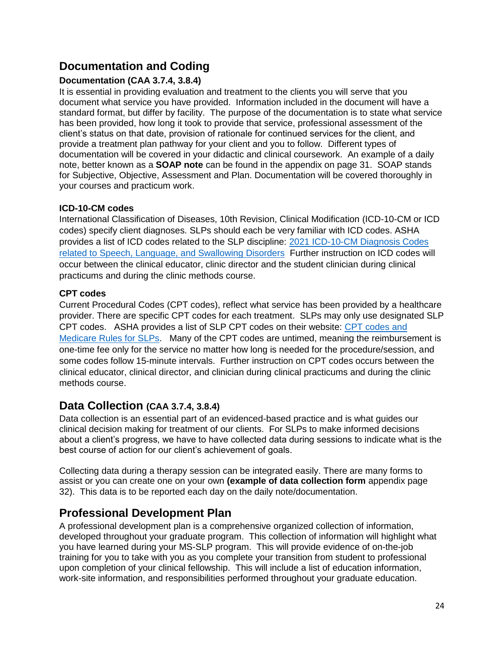## <span id="page-23-0"></span>**Documentation and Coding**

## <span id="page-23-1"></span>**Documentation (CAA 3.7.4, 3.8.4)**

It is essential in providing evaluation and treatment to the clients you will serve that you document what service you have provided. Information included in the document will have a standard format, but differ by facility. The purpose of the documentation is to state what service has been provided, how long it took to provide that service, professional assessment of the client's status on that date, provision of rationale for continued services for the client, and provide a treatment plan pathway for your client and you to follow. Different types of documentation will be covered in your didactic and clinical coursework. An example of a daily note, better known as a **SOAP note** can be found in the appendix on page 31. SOAP stands for Subjective, Objective, Assessment and Plan. Documentation will be covered thoroughly in your courses and practicum work.

## <span id="page-23-2"></span>**ICD-10-CM codes**

International Classification of Diseases, 10th Revision, Clinical Modification (ICD-10-CM or ICD codes) specify client diagnoses. SLPs should each be very familiar with ICD codes. ASHA provides a list of ICD codes related to the SLP discipline: [2021 ICD-10-CM Diagnosis Codes](https://www.asha.org/uploadedFiles/ICD-10-Codes-SLP.pdf)  [related to Speech, Language, and Swallowing Disorders](https://www.asha.org/uploadedFiles/ICD-10-Codes-SLP.pdf) Further instruction on ICD codes will occur between the clinical educator, clinic director and the student clinician during clinical practicums and during the clinic methods course.

## <span id="page-23-3"></span>**CPT codes**

Current Procedural Codes (CPT codes), reflect what service has been provided by a healthcare provider. There are specific CPT codes for each treatment. SLPs may only use designated SLP CPT codes. ASHA provides a list of SLP CPT codes on their website: [CPT codes and](https://www.asha.org/practice/reimbursement/medicare/SLP_coding_rules/)  [Medicare Rules for SLPs.](https://www.asha.org/practice/reimbursement/medicare/SLP_coding_rules/) Many of the CPT codes are untimed, meaning the reimbursement is one-time fee only for the service no matter how long is needed for the procedure/session, and some codes follow 15-minute intervals. Further instruction on CPT codes occurs between the clinical educator, clinical director, and clinician during clinical practicums and during the clinic methods course.

## <span id="page-23-4"></span>**Data Collection (CAA 3.7.4, 3.8.4)**

Data collection is an essential part of an evidenced-based practice and is what guides our clinical decision making for treatment of our clients. For SLPs to make informed decisions about a client's progress, we have to have collected data during sessions to indicate what is the best course of action for our client's achievement of goals.

Collecting data during a therapy session can be integrated easily. There are many forms to assist or you can create one on your own **(example of data collection form** appendix page 32). This data is to be reported each day on the daily note/documentation.

## <span id="page-23-5"></span>**Professional Development Plan**

A professional development plan is a comprehensive organized collection of information, developed throughout your graduate program. This collection of information will highlight what you have learned during your MS-SLP program. This will provide evidence of on-the-job training for you to take with you as you complete your transition from student to professional upon completion of your clinical fellowship. This will include a list of education information, work-site information, and responsibilities performed throughout your graduate education.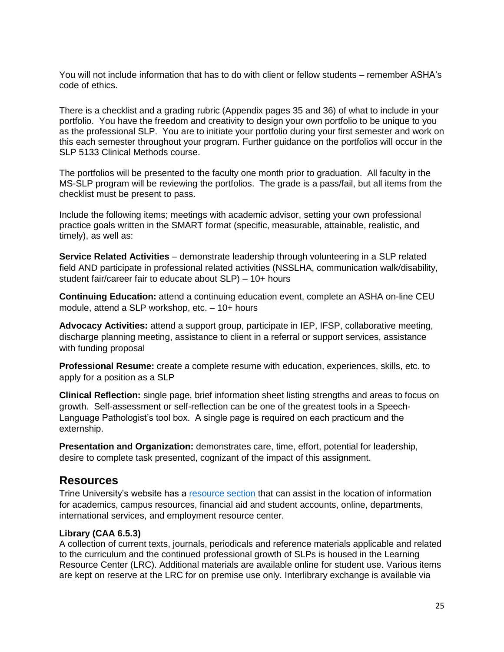You will not include information that has to do with client or fellow students – remember ASHA's code of ethics.

There is a checklist and a grading rubric (Appendix pages 35 and 36) of what to include in your portfolio. You have the freedom and creativity to design your own portfolio to be unique to you as the professional SLP. You are to initiate your portfolio during your first semester and work on this each semester throughout your program. Further guidance on the portfolios will occur in the SLP 5133 Clinical Methods course.

The portfolios will be presented to the faculty one month prior to graduation. All faculty in the MS-SLP program will be reviewing the portfolios. The grade is a pass/fail, but all items from the checklist must be present to pass.

Include the following items; meetings with academic advisor, setting your own professional practice goals written in the SMART format (specific, measurable, attainable, realistic, and timely), as well as:

**Service Related Activities** – demonstrate leadership through volunteering in a SLP related field AND participate in professional related activities (NSSLHA, communication walk/disability, student fair/career fair to educate about SLP) – 10+ hours

**Continuing Education:** attend a continuing education event, complete an ASHA on-line CEU module, attend a SLP workshop, etc. – 10+ hours

**Advocacy Activities:** attend a support group, participate in IEP, IFSP, collaborative meeting, discharge planning meeting, assistance to client in a referral or support services, assistance with funding proposal

**Professional Resume:** create a complete resume with education, experiences, skills, etc. to apply for a position as a SLP

**Clinical Reflection:** single page, brief information sheet listing strengths and areas to focus on growth. Self-assessment or self-reflection can be one of the greatest tools in a Speech-Language Pathologist's tool box. A single page is required on each practicum and the externship.

**Presentation and Organization:** demonstrates care, time, effort, potential for leadership, desire to complete task presented, cognizant of the impact of this assignment.

## <span id="page-24-0"></span>**Resources**

Trine University's website has a [resource section](https://trine.edu/resources/index.aspx) that can assist in the location of information for academics, campus resources, financial aid and student accounts, online, departments, international services, and employment resource center.

#### **Library (CAA 6.5.3)**

A collection of current texts, journals, periodicals and reference materials applicable and related to the curriculum and the continued professional growth of SLPs is housed in the Learning Resource Center (LRC). Additional materials are available online for student use. Various items are kept on reserve at the LRC for on premise use only. Interlibrary exchange is available via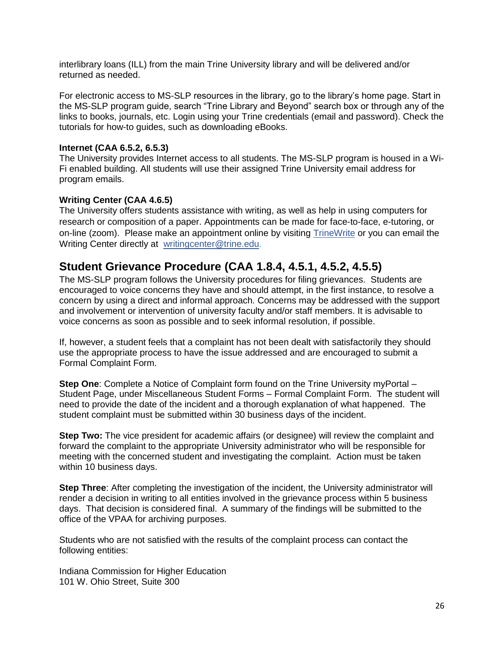interlibrary loans (ILL) from the main Trine University library and will be delivered and/or returned as needed.

For electronic access to MS-SLP resources in the library, go to the library's home page. Start in the MS-SLP program guide, search "Trine Library and Beyond" search box or through any of the links to books, journals, etc. Login using your Trine credentials (email and password). Check the tutorials for how-to guides, such as downloading eBooks.

#### **Internet (CAA 6.5.2, 6.5.3)**

The University provides Internet access to all students. The MS-SLP program is housed in a Wi-Fi enabled building. All students will use their assigned Trine University email address for program emails.

#### **Writing Center (CAA 4.6.5)**

The University offers students assistance with writing, as well as help in using computers for research or composition of a paper. Appointments can be made for face-to-face, e-tutoring, or on-line (zoom). Please make an appointment online by visiting [TrineWrite](https://www.trine.edu/write/index.aspx) or you can email the Writing Center directly at [writingcenter@trine.edu.](mailto:writingcenter@trine.edu)

## <span id="page-25-0"></span>**Student Grievance Procedure (CAA 1.8.4, 4.5.1, 4.5.2, 4.5.5)**

The MS-SLP program follows the University procedures for filing grievances. Students are encouraged to voice concerns they have and should attempt, in the first instance, to resolve a concern by using a direct and informal approach. Concerns may be addressed with the support and involvement or intervention of university faculty and/or staff members. It is advisable to voice concerns as soon as possible and to seek informal resolution, if possible.

If, however, a student feels that a complaint has not been dealt with satisfactorily they should use the appropriate process to have the issue addressed and are encouraged to submit a Formal Complaint Form.

**Step One**: Complete a Notice of Complaint form found on the Trine University myPortal – Student Page, under Miscellaneous Student Forms – Formal Complaint Form. The student will need to provide the date of the incident and a thorough explanation of what happened. The student complaint must be submitted within 30 business days of the incident.

**Step Two:** The vice president for academic affairs (or designee) will review the complaint and forward the complaint to the appropriate University administrator who will be responsible for meeting with the concerned student and investigating the complaint. Action must be taken within 10 business days.

**Step Three**: After completing the investigation of the incident, the University administrator will render a decision in writing to all entities involved in the grievance process within 5 business days. That decision is considered final. A summary of the findings will be submitted to the office of the VPAA for archiving purposes.

Students who are not satisfied with the results of the complaint process can contact the following entities:

Indiana Commission for Higher Education 101 W. Ohio Street, Suite 300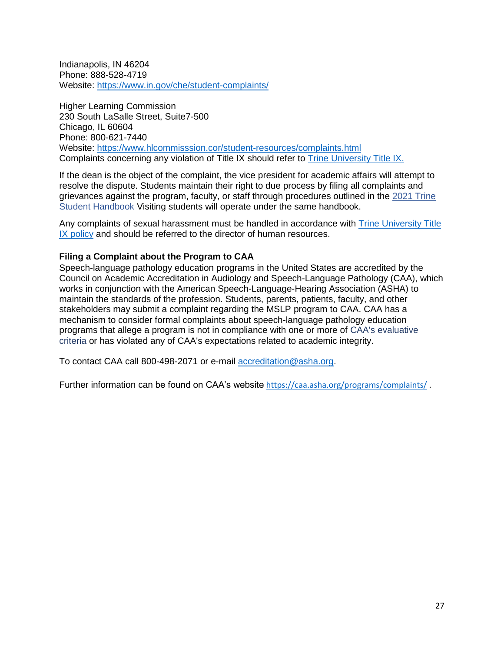Indianapolis, IN 46204 Phone: 888-528-4719 Website:<https://www.in.gov/che/student-complaints/>

Higher Learning Commission 230 South LaSalle Street, Suite7-500 Chicago, IL 60604 Phone: 800-621-7440 Website:<https://www.hlcommisssion.cor/student-resources/complaints.html> Complaints concerning any violation of Title IX should refer to [Trine University Title IX.](https://trine.edu/about/titleix/index.aspx)

If the dean is the object of the complaint, the vice president for academic affairs will attempt to resolve the dispute. Students maintain their right to due process by filing all complaints and grievances against the program, faculty, or staff through procedures outlined in the [2021 Trine](https://www.trine.edu/campus-life/documents/revised-2020-2021-student-handbook_1-2021.pdf)  [Student Handbook](https://www.trine.edu/campus-life/documents/revised-2020-2021-student-handbook_1-2021.pdf) Visiting students will operate under the same handbook.

Any complaints of sexual harassment must be handled in accordance with [Trine University Title](https://trine.edu/about/titleix/index.aspx)  [IX policy](https://trine.edu/about/titleix/index.aspx) and should be referred to the director of human resources.

#### <span id="page-26-0"></span>**Filing a Complaint about the Program to CAA**

Speech-language pathology education programs in the United States are accredited by the Council on Academic Accreditation in Audiology and Speech-Language Pathology (CAA), which works in conjunction with the American Speech-Language-Hearing Association (ASHA) to maintain the standards of the profession. Students, parents, patients, faculty, and other stakeholders may submit a complaint regarding the MSLP program to CAA. CAA has a mechanism to consider formal complaints about speech-language pathology education programs that allege a program is not in compliance with one or more of [CAA's evaluative](http://www.capteonline.org/uploadedFiles/CAPTEorg/About_CAPTE/Resources/Accreditation_Handbook/EvaluativeCriteria_PT.pdf)  [criteria](http://www.capteonline.org/uploadedFiles/CAPTEorg/About_CAPTE/Resources/Accreditation_Handbook/EvaluativeCriteria_PT.pdf) or has violated any of CAA's expectations related to academic integrity.

To contact CAA call 800-498-2071 or e-mail [accreditation@asha.org.](mailto:accreditation@asha.org)

Further information can be found on CAA's website <https://caa.asha.org/programs/complaints/> .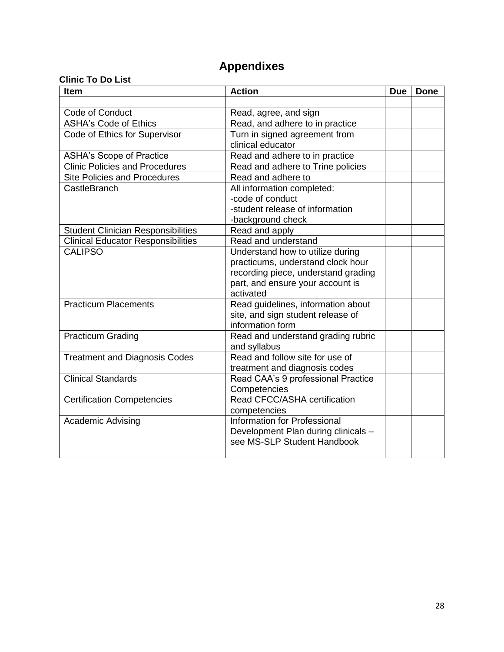## **Appendixes**

## <span id="page-27-0"></span>**Clinic To Do List**

| Item                                      | <b>Action</b>                                | <b>Due</b> | <b>Done</b> |
|-------------------------------------------|----------------------------------------------|------------|-------------|
|                                           |                                              |            |             |
| Code of Conduct                           | Read, agree, and sign                        |            |             |
| <b>ASHA's Code of Ethics</b>              | Read, and adhere to in practice              |            |             |
| Code of Ethics for Supervisor             | Turn in signed agreement from                |            |             |
|                                           | clinical educator                            |            |             |
| <b>ASHA's Scope of Practice</b>           | Read and adhere to in practice               |            |             |
| <b>Clinic Policies and Procedures</b>     | Read and adhere to Trine policies            |            |             |
| <b>Site Policies and Procedures</b>       | Read and adhere to                           |            |             |
| CastleBranch                              | All information completed:                   |            |             |
|                                           | -code of conduct                             |            |             |
|                                           | -student release of information              |            |             |
|                                           | -background check                            |            |             |
| <b>Student Clinician Responsibilities</b> | Read and apply                               |            |             |
| <b>Clinical Educator Responsibilities</b> | Read and understand                          |            |             |
| <b>CALIPSO</b>                            | Understand how to utilize during             |            |             |
|                                           | practicums, understand clock hour            |            |             |
|                                           | recording piece, understand grading          |            |             |
|                                           | part, and ensure your account is             |            |             |
|                                           | activated                                    |            |             |
| <b>Practicum Placements</b>               | Read guidelines, information about           |            |             |
|                                           | site, and sign student release of            |            |             |
|                                           | information form                             |            |             |
| <b>Practicum Grading</b>                  | Read and understand grading rubric           |            |             |
|                                           | and syllabus                                 |            |             |
| <b>Treatment and Diagnosis Codes</b>      | Read and follow site for use of              |            |             |
|                                           | treatment and diagnosis codes                |            |             |
| <b>Clinical Standards</b>                 | Read CAA's 9 professional Practice           |            |             |
|                                           | Competencies<br>Read CFCC/ASHA certification |            |             |
| <b>Certification Competencies</b>         |                                              |            |             |
|                                           | competencies<br>Information for Professional |            |             |
| <b>Academic Advising</b>                  | Development Plan during clinicals -          |            |             |
|                                           | see MS-SLP Student Handbook                  |            |             |
|                                           |                                              |            |             |
|                                           |                                              |            |             |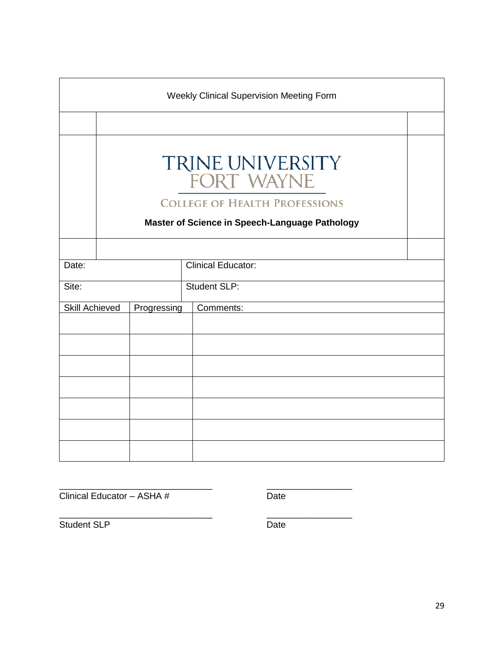<span id="page-28-0"></span>

| Weekly Clinical Supervision Meeting Form |  |             |  |                                                       |  |
|------------------------------------------|--|-------------|--|-------------------------------------------------------|--|
|                                          |  |             |  |                                                       |  |
|                                          |  |             |  | TRINE UNIVERSITY<br>FORT WAYNE                        |  |
|                                          |  |             |  | <b>COLLEGE OF HEALTH PROFESSIONS</b>                  |  |
|                                          |  |             |  | <b>Master of Science in Speech-Language Pathology</b> |  |
|                                          |  |             |  |                                                       |  |
| Date:                                    |  |             |  | <b>Clinical Educator:</b>                             |  |
| Site:                                    |  |             |  | <b>Student SLP:</b>                                   |  |
| <b>Skill Achieved</b>                    |  | Progressing |  | Comments:                                             |  |
|                                          |  |             |  |                                                       |  |
|                                          |  |             |  |                                                       |  |
|                                          |  |             |  |                                                       |  |
|                                          |  |             |  |                                                       |  |
|                                          |  |             |  |                                                       |  |
|                                          |  |             |  |                                                       |  |
|                                          |  |             |  |                                                       |  |

| Clinical Educator - ASHA # | Date |
|----------------------------|------|

\_\_\_\_\_\_\_\_\_\_\_\_\_\_\_\_\_\_\_\_\_\_\_\_\_\_\_\_\_\_\_\_\_\_ \_\_\_\_\_\_\_\_\_\_\_\_\_\_\_\_\_\_\_ Student SLP Date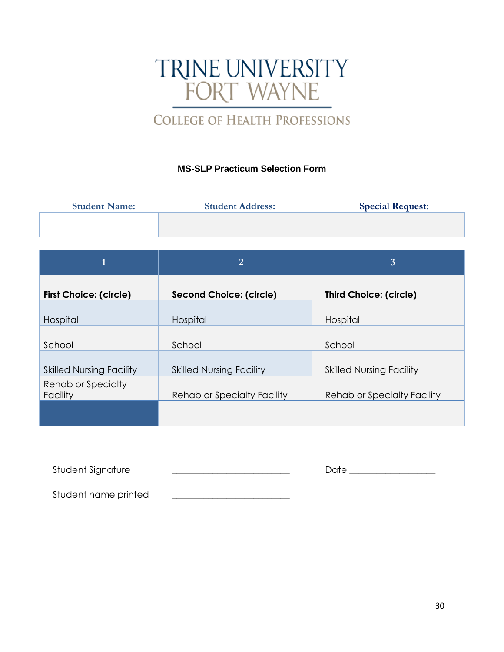# TRINE UNIVERSITY<br>FORT WAYNE

## **COLLEGE OF HEALTH PROFESSIONS**

## **MS-SLP Practicum Selection Form**

<span id="page-29-0"></span>

| <b>Student Name:</b> | <b>Student Address:</b> | <b>Special Request:</b> |
|----------------------|-------------------------|-------------------------|
|                      |                         |                         |
|                      |                         |                         |

|                                 | $\overline{2}$                  | 3                                  |
|---------------------------------|---------------------------------|------------------------------------|
| <b>First Choice: (circle)</b>   | <b>Second Choice: (circle)</b>  | <b>Third Choice: (circle)</b>      |
| Hospital                        | Hospital                        | Hospital                           |
| School                          | School                          | School                             |
| <b>Skilled Nursing Facility</b> | <b>Skilled Nursing Facility</b> | <b>Skilled Nursing Facility</b>    |
| Rehab or Specialty<br>Facility  | Rehab or Specialty Facility     | <b>Rehab or Specialty Facility</b> |
|                                 |                                 |                                    |

| Student Signature    | Date |  |
|----------------------|------|--|
|                      |      |  |
| Student name printed |      |  |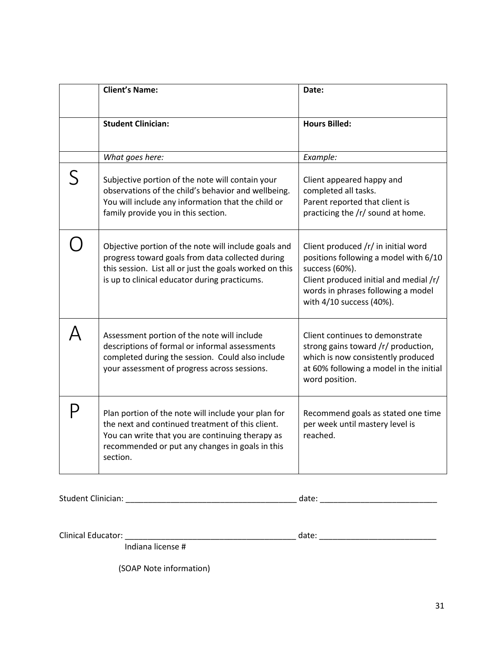| <b>Client's Name:</b>                                                                                                                                                                                                      | Date:                                                                                                                                                                                                      |  |  |
|----------------------------------------------------------------------------------------------------------------------------------------------------------------------------------------------------------------------------|------------------------------------------------------------------------------------------------------------------------------------------------------------------------------------------------------------|--|--|
| <b>Student Clinician:</b>                                                                                                                                                                                                  | <b>Hours Billed:</b>                                                                                                                                                                                       |  |  |
| What goes here:                                                                                                                                                                                                            | Example:                                                                                                                                                                                                   |  |  |
| Subjective portion of the note will contain your<br>observations of the child's behavior and wellbeing.<br>You will include any information that the child or<br>family provide you in this section.                       | Client appeared happy and<br>completed all tasks.<br>Parent reported that client is<br>practicing the /r/ sound at home.                                                                                   |  |  |
| Objective portion of the note will include goals and<br>progress toward goals from data collected during<br>this session. List all or just the goals worked on this<br>is up to clinical educator during practicums.       | Client produced /r/ in initial word<br>positions following a model with 6/10<br>success (60%).<br>Client produced initial and medial /r/<br>words in phrases following a model<br>with 4/10 success (40%). |  |  |
| Assessment portion of the note will include<br>descriptions of formal or informal assessments<br>completed during the session. Could also include<br>your assessment of progress across sessions.                          | Client continues to demonstrate<br>strong gains toward /r/ production,<br>which is now consistently produced<br>at 60% following a model in the initial<br>word position.                                  |  |  |
| Plan portion of the note will include your plan for<br>the next and continued treatment of this client.<br>You can write that you are continuing therapy as<br>recommended or put any changes in goals in this<br>section. | Recommend goals as stated one time<br>per week until mastery level is<br>reached.                                                                                                                          |  |  |

Student Clinician: \_\_\_\_\_\_\_\_\_\_\_\_\_\_\_\_\_\_\_\_\_\_\_\_\_\_\_\_\_\_\_\_\_\_\_\_\_\_ date: \_\_\_\_\_\_\_\_\_\_\_\_\_\_\_\_\_\_\_\_\_\_\_\_\_\_

Clinical Educator: \_\_\_\_\_\_\_\_\_\_\_\_\_\_\_\_\_\_\_\_\_\_\_\_\_\_\_\_\_\_\_\_\_\_\_\_\_\_ date: \_\_\_\_\_\_\_\_\_\_\_\_\_\_\_\_\_\_\_\_\_\_\_\_\_\_

Indiana license #

(SOAP Note information)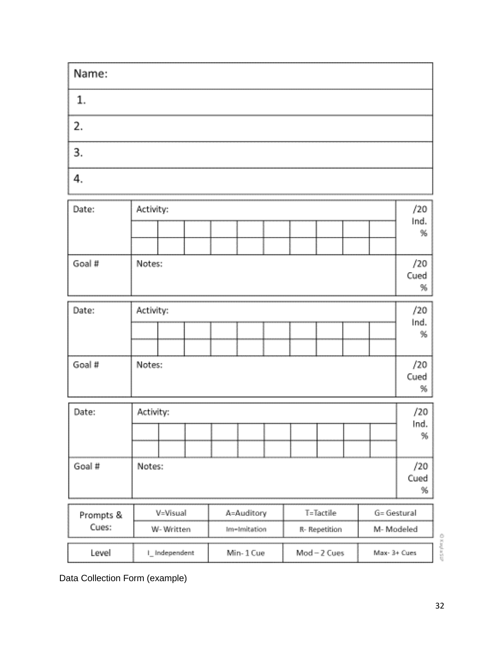| Name: |  |
|-------|--|
|       |  |
| 2.    |  |
|       |  |
|       |  |

| Activity:<br>Date: |                                          |  |             |              |              | /20 |               |  |      |           |      |
|--------------------|------------------------------------------|--|-------------|--------------|--------------|-----|---------------|--|------|-----------|------|
|                    |                                          |  |             |              |              |     |               |  | Ind. |           |      |
|                    |                                          |  |             |              |              |     |               |  |      |           | %    |
|                    |                                          |  |             |              |              |     |               |  |      |           |      |
| Goal #             | Notes:                                   |  |             |              |              |     |               |  |      |           | /20  |
|                    |                                          |  |             |              |              |     |               |  |      |           | Cued |
|                    |                                          |  |             |              |              |     |               |  |      |           | %    |
| Date:              | Activity:                                |  |             |              |              |     |               |  |      |           | /20  |
|                    |                                          |  |             |              |              |     |               |  |      |           | Ind. |
|                    |                                          |  |             |              |              |     |               |  |      |           | %    |
|                    |                                          |  |             |              |              |     |               |  |      |           |      |
| Goal #<br>Notes:   |                                          |  |             |              | /20          |     |               |  |      |           |      |
|                    |                                          |  |             |              |              |     |               |  |      |           | Cued |
|                    |                                          |  |             |              |              |     |               |  |      |           | %    |
| Date:              | Activity:                                |  |             |              |              | /20 |               |  |      |           |      |
|                    |                                          |  |             |              |              |     |               |  |      | Ind.      |      |
|                    |                                          |  |             |              |              |     |               |  |      |           | %    |
|                    |                                          |  |             |              |              |     |               |  |      |           |      |
| Goal #             | Notes:                                   |  |             |              |              | /20 |               |  |      |           |      |
|                    |                                          |  |             |              |              |     |               |  | Cued |           |      |
|                    |                                          |  |             |              |              |     |               |  |      |           | %    |
| Prompts &          | T=Tactile<br>V=Visual<br>A=Auditory      |  | G= Gestural |              |              |     |               |  |      |           |      |
| Cues:              | W-Written                                |  |             | Im-Imitation |              |     | R- Repetition |  |      | M-Modeled |      |
|                    |                                          |  |             |              |              |     |               |  |      |           |      |
| Level              | Mod-2 Cues<br>Min-1 Cue<br>I_Independent |  |             |              | Max- 3+ Cues |     |               |  |      |           |      |

**GRANCI** 

Data Collection Form (example)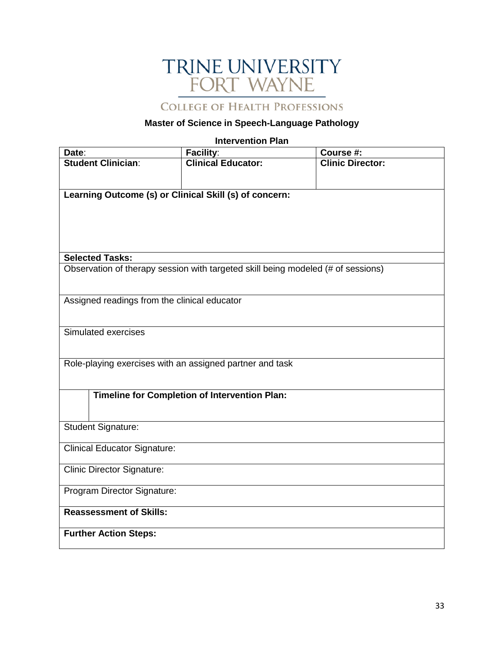# TRINE UNIVERSITY<br>FORT WAYNE

**COLLEGE OF HEALTH PROFESSIONS** 

## **Master of Science in Speech-Language Pathology**

#### **Intervention Plan**

<span id="page-32-0"></span>

| Date:                                                    | Facility:                                                                        | Course #:               |  |  |
|----------------------------------------------------------|----------------------------------------------------------------------------------|-------------------------|--|--|
| <b>Student Clinician:</b>                                | <b>Clinical Educator:</b>                                                        | <b>Clinic Director:</b> |  |  |
|                                                          |                                                                                  |                         |  |  |
| Learning Outcome (s) or Clinical Skill (s) of concern:   |                                                                                  |                         |  |  |
|                                                          |                                                                                  |                         |  |  |
|                                                          |                                                                                  |                         |  |  |
|                                                          |                                                                                  |                         |  |  |
|                                                          |                                                                                  |                         |  |  |
| <b>Selected Tasks:</b>                                   |                                                                                  |                         |  |  |
|                                                          | Observation of therapy session with targeted skill being modeled (# of sessions) |                         |  |  |
|                                                          |                                                                                  |                         |  |  |
| Assigned readings from the clinical educator             |                                                                                  |                         |  |  |
|                                                          |                                                                                  |                         |  |  |
|                                                          |                                                                                  |                         |  |  |
| Simulated exercises                                      |                                                                                  |                         |  |  |
|                                                          |                                                                                  |                         |  |  |
| Role-playing exercises with an assigned partner and task |                                                                                  |                         |  |  |
|                                                          |                                                                                  |                         |  |  |
|                                                          |                                                                                  |                         |  |  |
|                                                          | <b>Timeline for Completion of Intervention Plan:</b>                             |                         |  |  |
|                                                          |                                                                                  |                         |  |  |
| <b>Student Signature:</b>                                |                                                                                  |                         |  |  |
|                                                          |                                                                                  |                         |  |  |
| <b>Clinical Educator Signature:</b>                      |                                                                                  |                         |  |  |
| <b>Clinic Director Signature:</b>                        |                                                                                  |                         |  |  |
|                                                          |                                                                                  |                         |  |  |
| Program Director Signature:                              |                                                                                  |                         |  |  |
| <b>Reassessment of Skills:</b>                           |                                                                                  |                         |  |  |
|                                                          |                                                                                  |                         |  |  |
| <b>Further Action Steps:</b>                             |                                                                                  |                         |  |  |
|                                                          |                                                                                  |                         |  |  |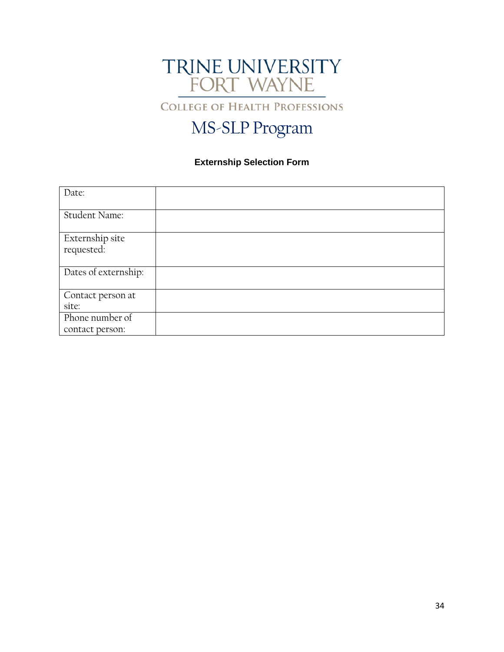

**COLLEGE OF HEALTH PROFESSIONS** 

## MS-SLP Program

## **Externship Selection Form**

<span id="page-33-0"></span>

| Date:                         |  |
|-------------------------------|--|
| Student Name:                 |  |
| Externship site<br>requested: |  |
| Dates of externship:          |  |
| Contact person at             |  |
| site:                         |  |
| Phone number of               |  |
| contact person:               |  |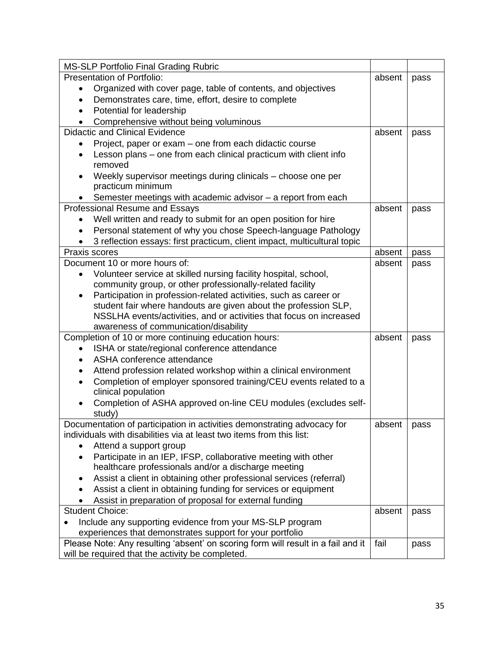<span id="page-34-0"></span>

| <b>MS-SLP Portfolio Final Grading Rubric</b>                                     |        |      |  |  |
|----------------------------------------------------------------------------------|--------|------|--|--|
| Presentation of Portfolio:                                                       | absent | pass |  |  |
| Organized with cover page, table of contents, and objectives<br>$\bullet$        |        |      |  |  |
| Demonstrates care, time, effort, desire to complete<br>$\bullet$                 |        |      |  |  |
| Potential for leadership<br>$\bullet$                                            |        |      |  |  |
| Comprehensive without being voluminous                                           |        |      |  |  |
| <b>Didactic and Clinical Evidence</b>                                            | absent | pass |  |  |
| Project, paper or exam – one from each didactic course                           |        |      |  |  |
| Lesson plans – one from each clinical practicum with client info                 |        |      |  |  |
| removed                                                                          |        |      |  |  |
| Weekly supervisor meetings during clinicals - choose one per                     |        |      |  |  |
| practicum minimum                                                                |        |      |  |  |
| Semester meetings with academic advisor - a report from each                     |        |      |  |  |
| Professional Resume and Essays                                                   | absent | pass |  |  |
| Well written and ready to submit for an open position for hire                   |        |      |  |  |
| Personal statement of why you chose Speech-language Pathology                    |        |      |  |  |
| 3 reflection essays: first practicum, client impact, multicultural topic         |        |      |  |  |
| Praxis scores                                                                    | absent | pass |  |  |
| Document 10 or more hours of:                                                    | absent | pass |  |  |
| Volunteer service at skilled nursing facility hospital, school,<br>$\bullet$     |        |      |  |  |
| community group, or other professionally-related facility                        |        |      |  |  |
| Participation in profession-related activities, such as career or                |        |      |  |  |
| student fair where handouts are given about the profession SLP,                  |        |      |  |  |
| NSSLHA events/activities, and or activities that focus on increased              |        |      |  |  |
| awareness of communication/disability                                            |        |      |  |  |
| Completion of 10 or more continuing education hours:                             | absent | pass |  |  |
| ISHA or state/regional conference attendance<br>$\bullet$                        |        |      |  |  |
| ASHA conference attendance                                                       |        |      |  |  |
| Attend profession related workshop within a clinical environment                 |        |      |  |  |
| Completion of employer sponsored training/CEU events related to a                |        |      |  |  |
| clinical population                                                              |        |      |  |  |
| Completion of ASHA approved on-line CEU modules (excludes self-                  |        |      |  |  |
| study)                                                                           |        |      |  |  |
| Documentation of participation in activities demonstrating advocacy for          | absent | pass |  |  |
| individuals with disabilities via at least two items from this list:             |        |      |  |  |
| Attend a support group                                                           |        |      |  |  |
| Participate in an IEP, IFSP, collaborative meeting with other                    |        |      |  |  |
| healthcare professionals and/or a discharge meeting                              |        |      |  |  |
| Assist a client in obtaining other professional services (referral)              |        |      |  |  |
| Assist a client in obtaining funding for services or equipment                   |        |      |  |  |
| Assist in preparation of proposal for external funding                           |        |      |  |  |
| <b>Student Choice:</b>                                                           | absent | pass |  |  |
| Include any supporting evidence from your MS-SLP program                         |        |      |  |  |
| experiences that demonstrates support for your portfolio                         |        |      |  |  |
| Please Note: Any resulting 'absent' on scoring form will result in a fail and it | fail   | pass |  |  |
| will be required that the activity be completed.                                 |        |      |  |  |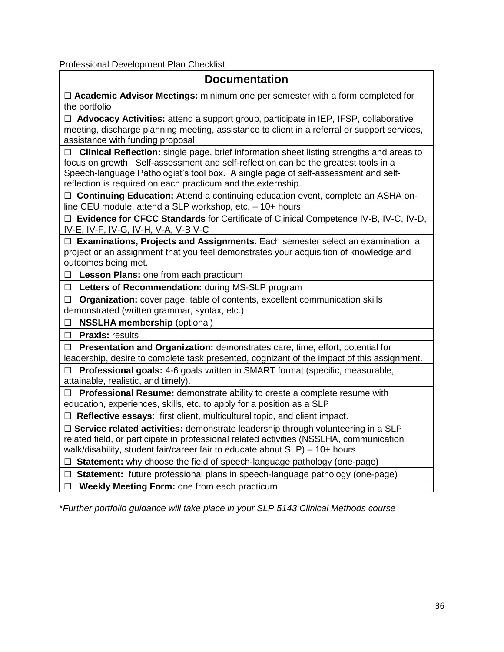<span id="page-35-0"></span>Professional Development Plan Checklist

| <b>Documentation</b>                                                                                                                                                                                                                                                                                                                            |
|-------------------------------------------------------------------------------------------------------------------------------------------------------------------------------------------------------------------------------------------------------------------------------------------------------------------------------------------------|
| $\Box$ Academic Advisor Meetings: minimum one per semester with a form completed for<br>the portfolio                                                                                                                                                                                                                                           |
| □ Advocacy Activities: attend a support group, participate in IEP, IFSP, collaborative<br>meeting, discharge planning meeting, assistance to client in a referral or support services,<br>assistance with funding proposal                                                                                                                      |
| Clinical Reflection: single page, brief information sheet listing strengths and areas to<br>$\Box$<br>focus on growth. Self-assessment and self-reflection can be the greatest tools in a<br>Speech-language Pathologist's tool box. A single page of self-assessment and self-<br>reflection is required on each practicum and the externship. |
| □ Continuing Education: Attend a continuing education event, complete an ASHA on-<br>line CEU module, attend a SLP workshop, etc. - 10+ hours                                                                                                                                                                                                   |
| □ Evidence for CFCC Standards for Certificate of Clinical Competence IV-B, IV-C, IV-D,<br>IV-E, IV-F, IV-G, IV-H, V-A, V-B V-C                                                                                                                                                                                                                  |
| □ Examinations, Projects and Assignments: Each semester select an examination, a<br>project or an assignment that you feel demonstrates your acquisition of knowledge and<br>outcomes being met.                                                                                                                                                |
| Lesson Plans: one from each practicum<br>$\Box$                                                                                                                                                                                                                                                                                                 |
| Letters of Recommendation: during MS-SLP program<br>□                                                                                                                                                                                                                                                                                           |
| Organization: cover page, table of contents, excellent communication skills<br>$\Box$<br>demonstrated (written grammar, syntax, etc.)                                                                                                                                                                                                           |
| <b>NSSLHA membership (optional)</b><br>□                                                                                                                                                                                                                                                                                                        |
| $\Box$ Praxis: results                                                                                                                                                                                                                                                                                                                          |
| Presentation and Organization: demonstrates care, time, effort, potential for<br>$\Box$<br>leadership, desire to complete task presented, cognizant of the impact of this assignment.                                                                                                                                                           |
| Professional goals: 4-6 goals written in SMART format (specific, measurable,<br>П<br>attainable, realistic, and timely).                                                                                                                                                                                                                        |
| Professional Resume: demonstrate ability to create a complete resume with<br>П<br>education, experiences, skills, etc. to apply for a position as a SLP                                                                                                                                                                                         |
| □ Reflective essays: first client, multicultural topic, and client impact.                                                                                                                                                                                                                                                                      |
| $\Box$ Service related activities: demonstrate leadership through volunteering in a SLP<br>related field, or participate in professional related activities (NSSLHA, communication<br>walk/disability, student fair/career fair to educate about SLP) - 10+ hours                                                                               |
| Statement: why choose the field of speech-language pathology (one-page)<br>⊔ ⊢                                                                                                                                                                                                                                                                  |
| $\Box$ Statement: future professional plans in speech-language pathology (one-page)                                                                                                                                                                                                                                                             |
| Weekly Meeting Form: one from each practicum<br>$\Box$                                                                                                                                                                                                                                                                                          |

\**Further portfolio guidance will take place in your SLP 5143 Clinical Methods course*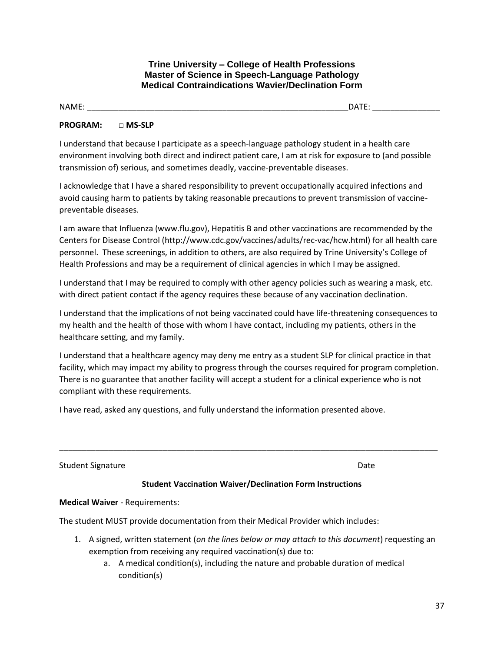**Trine University – College of Health Professions Master of Science in Speech-Language Pathology Medical Contraindications Wavier/Declination Form**

NAME: \_\_\_\_\_\_\_\_\_\_\_\_\_\_\_\_\_\_\_\_\_\_\_\_\_\_\_\_\_\_\_\_\_\_\_\_\_\_\_\_\_\_\_\_\_\_\_\_\_\_\_\_\_\_\_\_\_\_DATE: \_\_\_\_\_\_\_\_\_\_\_\_\_\_\_

#### **PROGRAM: □ MS-SLP**

I understand that because I participate as a speech-language pathology student in a health care environment involving both direct and indirect patient care, I am at risk for exposure to (and possible transmission of) serious, and sometimes deadly, vaccine-preventable diseases.

I acknowledge that I have a shared responsibility to prevent occupationally acquired infections and avoid causing harm to patients by taking reasonable precautions to prevent transmission of vaccinepreventable diseases.

I am aware that Influenza (www.flu.gov), Hepatitis B and other vaccinations are recommended by the Centers for Disease Control (http://www.cdc.gov/vaccines/adults/rec-vac/hcw.html) for all health care personnel. These screenings, in addition to others, are also required by Trine University's College of Health Professions and may be a requirement of clinical agencies in which I may be assigned.

I understand that I may be required to comply with other agency policies such as wearing a mask, etc. with direct patient contact if the agency requires these because of any vaccination declination.

I understand that the implications of not being vaccinated could have life-threatening consequences to my health and the health of those with whom I have contact, including my patients, others in the healthcare setting, and my family.

I understand that a healthcare agency may deny me entry as a student SLP for clinical practice in that facility, which may impact my ability to progress through the courses required for program completion. There is no guarantee that another facility will accept a student for a clinical experience who is not compliant with these requirements.

I have read, asked any questions, and fully understand the information presented above.

Student Signature Date Date of the Date of the Date Date Date Date of the Date Date of the Date of the Date of the Date of the Date of the Date of the Date of the Date of the Date of the Date of the Date of the Date of the

## **Student Vaccination Waiver/Declination Form Instructions**

\_\_\_\_\_\_\_\_\_\_\_\_\_\_\_\_\_\_\_\_\_\_\_\_\_\_\_\_\_\_\_\_\_\_\_\_\_\_\_\_\_\_\_\_\_\_\_\_\_\_\_\_\_\_\_\_\_\_\_\_\_\_\_\_\_\_\_\_\_\_\_\_\_\_\_\_\_\_\_\_\_\_\_\_

**Medical Waiver** - Requirements:

The student MUST provide documentation from their Medical Provider which includes:

- 1. A signed, written statement (*on the lines below or may attach to this document*) requesting an exemption from receiving any required vaccination(s) due to:
	- a. A medical condition(s), including the nature and probable duration of medical condition(s)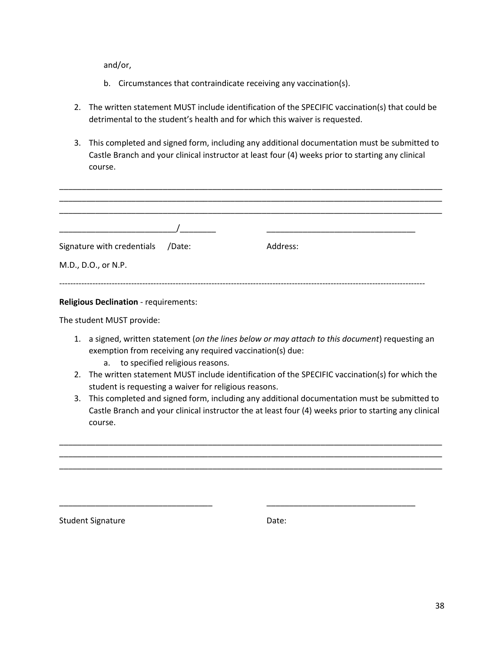and/or,

- b. Circumstances that contraindicate receiving any vaccination(s).
- 2. The written statement MUST include identification of the SPECIFIC vaccination(s) that could be detrimental to the student's health and for which this waiver is requested.
- 3. This completed and signed form, including any additional documentation must be submitted to Castle Branch and your clinical instructor at least four (4) weeks prior to starting any clinical course.

| Signature with credentials /Date: | Address: |
|-----------------------------------|----------|
| M.D., D.O., or N.P.               |          |
|                                   |          |

#### **Religious Declination** - requirements:

The student MUST provide:

- 1. a signed, written statement (*on the lines below or may attach to this document*) requesting an exemption from receiving any required vaccination(s) due:
	- a. to specified religious reasons.
- 2. The written statement MUST include identification of the SPECIFIC vaccination(s) for which the student is requesting a waiver for religious reasons.
- 3. This completed and signed form, including any additional documentation must be submitted to Castle Branch and your clinical instructor the at least four (4) weeks prior to starting any clinical course.

\_\_\_\_\_\_\_\_\_\_\_\_\_\_\_\_\_\_\_\_\_\_\_\_\_\_\_\_\_\_\_\_\_\_\_\_\_\_\_\_\_\_\_\_\_\_\_\_\_\_\_\_\_\_\_\_\_\_\_\_\_\_\_\_\_\_\_\_\_\_\_\_\_\_\_\_\_\_\_\_\_\_\_\_\_ \_\_\_\_\_\_\_\_\_\_\_\_\_\_\_\_\_\_\_\_\_\_\_\_\_\_\_\_\_\_\_\_\_\_\_\_\_\_\_\_\_\_\_\_\_\_\_\_\_\_\_\_\_\_\_\_\_\_\_\_\_\_\_\_\_\_\_\_\_\_\_\_\_\_\_\_\_\_\_\_\_\_\_\_\_ \_\_\_\_\_\_\_\_\_\_\_\_\_\_\_\_\_\_\_\_\_\_\_\_\_\_\_\_\_\_\_\_\_\_\_\_\_\_\_\_\_\_\_\_\_\_\_\_\_\_\_\_\_\_\_\_\_\_\_\_\_\_\_\_\_\_\_\_\_\_\_\_\_\_\_\_\_\_\_\_\_\_\_\_\_

\_\_\_\_\_\_\_\_\_\_\_\_\_\_\_\_\_\_\_\_\_\_\_\_\_\_\_\_\_\_\_\_\_\_ \_\_\_\_\_\_\_\_\_\_\_\_\_\_\_\_\_\_\_\_\_\_\_\_\_\_\_\_\_\_\_\_\_

Student Signature **Date:** Date: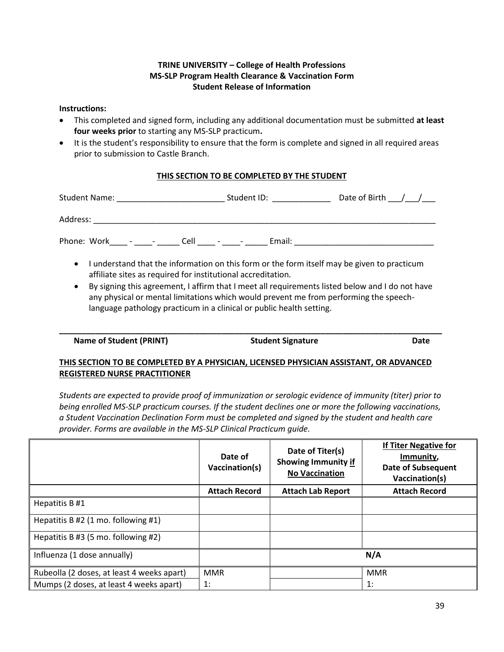#### **TRINE UNIVERSITY – College of Health Professions MS-SLP Program Health Clearance & Vaccination Form Student Release of Information**

#### **Instructions:**

- This completed and signed form, including any additional documentation must be submitted **at least four weeks prior** to starting any MS-SLP practicum**.**
- It is the student's responsibility to ensure that the form is complete and signed in all required areas prior to submission to Castle Branch.

#### **THIS SECTION TO BE COMPLETED BY THE STUDENT**

| Student Name: _____________________             | Student ID: The Student ID:                                                                 | Date of Birth $/$ /                                                                                                                                                                                                           |
|-------------------------------------------------|---------------------------------------------------------------------------------------------|-------------------------------------------------------------------------------------------------------------------------------------------------------------------------------------------------------------------------------|
|                                                 |                                                                                             |                                                                                                                                                                                                                               |
| Phone: Work _____ - _______ Cell _____ - ______ |                                                                                             | Email: Email: All and the second second second second second second second second second second second second second second second second second second second second second second second second second second second second |
|                                                 | I understand that the information on this form or the form itself may be given to practicum |                                                                                                                                                                                                                               |

- affiliate sites as required for institutional accreditation. • By signing this agreement, I affirm that I meet all requirements listed below and I do not have
- any physical or mental limitations which would prevent me from performing the speechlanguage pathology practicum in a clinical or public health setting.

**\_\_\_\_\_\_\_\_\_\_\_\_\_\_\_\_\_\_\_\_\_\_\_\_\_\_\_\_\_\_\_\_\_\_\_\_\_\_\_\_\_\_\_\_\_\_\_\_\_\_\_\_\_\_\_\_\_\_\_\_\_\_\_\_\_\_\_\_\_\_\_\_\_\_\_\_\_\_\_\_\_\_\_\_\_** 

**Name of Student (PRINT) Student Signature Date** 

## **THIS SECTION TO BE COMPLETED BY A PHYSICIAN, LICENSED PHYSICIAN ASSISTANT, OR ADVANCED REGISTERED NURSE PRACTITIONER**

*Students are expected to provide proof of immunization or serologic evidence of immunity (titer) prior to being enrolled MS-SLP practicum courses. If the student declines one or more the following vaccinations, a Student Vaccination Declination Form must be completed and signed by the student and health care provider. Forms are available in the MS-SLP Clinical Practicum guide.*

|                                            | Date of<br>Vaccination(s) | Date of Titer(s)<br><b>Showing Immunity if</b><br><b>No Vaccination</b> | <b>If Titer Negative for</b><br>Immunity,<br><b>Date of Subsequent</b><br>Vaccination(s) |
|--------------------------------------------|---------------------------|-------------------------------------------------------------------------|------------------------------------------------------------------------------------------|
|                                            | <b>Attach Record</b>      | <b>Attach Lab Report</b>                                                | <b>Attach Record</b>                                                                     |
| Hepatitis B #1                             |                           |                                                                         |                                                                                          |
| Hepatitis B #2 (1 mo. following #1)        |                           |                                                                         |                                                                                          |
| Hepatitis B #3 (5 mo. following #2)        |                           |                                                                         |                                                                                          |
| Influenza (1 dose annually)                |                           |                                                                         | N/A                                                                                      |
| Rubeolla (2 doses, at least 4 weeks apart) | <b>MMR</b>                |                                                                         | <b>MMR</b>                                                                               |
| Mumps (2 doses, at least 4 weeks apart)    | 1:                        |                                                                         | 1:                                                                                       |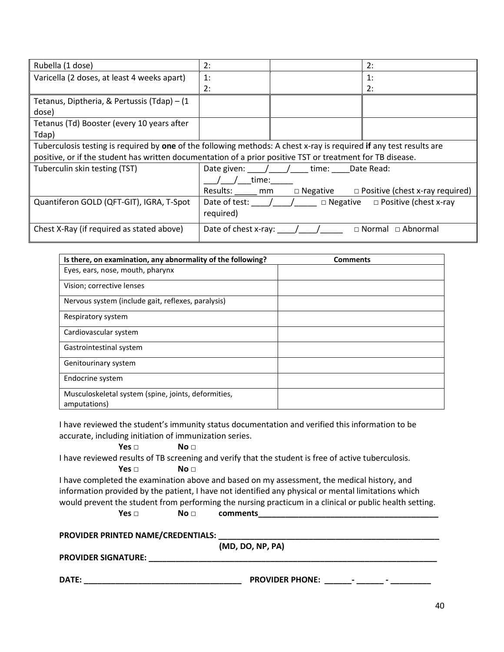| Rubella (1 dose)                                                                                           | 2:<br>2:                                                                                                            |  |  |  |
|------------------------------------------------------------------------------------------------------------|---------------------------------------------------------------------------------------------------------------------|--|--|--|
| Varicella (2 doses, at least 4 weeks apart)                                                                | 1:<br>1:                                                                                                            |  |  |  |
|                                                                                                            | 2:<br>2:                                                                                                            |  |  |  |
| Tetanus, Diptheria, & Pertussis (Tdap) - (1                                                                |                                                                                                                     |  |  |  |
| dose)                                                                                                      |                                                                                                                     |  |  |  |
| Tetanus (Td) Booster (every 10 years after                                                                 |                                                                                                                     |  |  |  |
| Tdap)                                                                                                      |                                                                                                                     |  |  |  |
|                                                                                                            | Tuberculosis testing is required by one of the following methods: A chest x-ray is required if any test results are |  |  |  |
| positive, or if the student has written documentation of a prior positive TST or treatment for TB disease. |                                                                                                                     |  |  |  |
| Tuberculin skin testing (TST)                                                                              | Date given: / / time: Date Read:                                                                                    |  |  |  |
|                                                                                                            | time:                                                                                                               |  |  |  |
|                                                                                                            | $\Box$ Negative $\Box$ Positive (chest x-ray required)<br>Results: mm                                               |  |  |  |
| Quantiferon GOLD (QFT-GIT), IGRA, T-Spot                                                                   | Date of test: $/$ /<br>$\Box$ Positive (chest x-ray<br>$\Box$ Negative                                              |  |  |  |
|                                                                                                            | required)                                                                                                           |  |  |  |
| Chest X-Ray (if required as stated above)                                                                  | Date of chest x-ray: $\left( \begin{array}{cc} \end{array} \right)$<br>$\sqcap$ Abnormal<br>$\Box$ Normal           |  |  |  |

| Is there, on examination, any abnormality of the following?         | <b>Comments</b> |
|---------------------------------------------------------------------|-----------------|
| Eyes, ears, nose, mouth, pharynx                                    |                 |
| Vision; corrective lenses                                           |                 |
| Nervous system (include gait, reflexes, paralysis)                  |                 |
| Respiratory system                                                  |                 |
| Cardiovascular system                                               |                 |
| Gastrointestinal system                                             |                 |
| Genitourinary system                                                |                 |
| Endocrine system                                                    |                 |
| Musculoskeletal system (spine, joints, deformities,<br>amputations) |                 |

I have reviewed the student's immunity status documentation and verified this information to be accurate, including initiation of immunization series.

#### **Yes □ No □**

I have reviewed results of TB screening and verify that the student is free of active tuberculosis.

#### **Yes □** No □

I have completed the examination above and based on my assessment, the medical history, and information provided by the patient, I have not identified any physical or mental limitations which would prevent the student from performing the nursing practicum in a clinical or public health setting.

**Yes □** No □ comments

PROVIDER PRINTED NAME/CREDENTIALS:

**(MD, DO, NP, PA)**

**PROVIDER SIGNATURE: \_\_\_\_\_\_\_\_\_\_\_\_\_\_\_\_\_\_\_\_\_\_\_\_\_\_\_\_\_\_\_\_\_\_\_\_\_\_\_\_\_\_\_\_\_\_\_\_\_\_\_\_\_\_\_\_\_\_\_\_\_\_\_\_**

**DATE: \_\_\_\_\_\_\_\_\_\_\_\_\_\_\_\_\_\_\_\_\_\_\_\_\_\_\_\_\_\_\_\_\_\_\_ PROVIDER PHONE: \_\_\_\_\_\_- \_\_\_\_\_\_ - \_\_\_\_\_\_\_\_\_**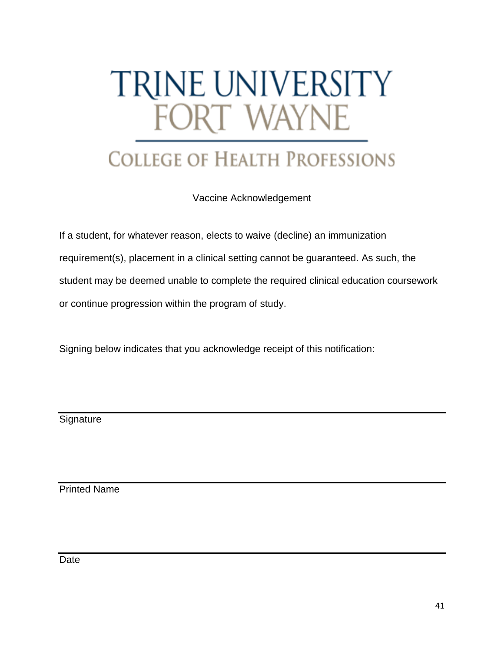# <span id="page-40-0"></span>TRINE UNIVERSITY FORT WAYNE

## **COLLEGE OF HEALTH PROFESSIONS**

Vaccine Acknowledgement

If a student, for whatever reason, elects to waive (decline) an immunization requirement(s), placement in a clinical setting cannot be guaranteed. As such, the student may be deemed unable to complete the required clinical education coursework or continue progression within the program of study.

Signing below indicates that you acknowledge receipt of this notification:

**Signature** 

Printed Name

Date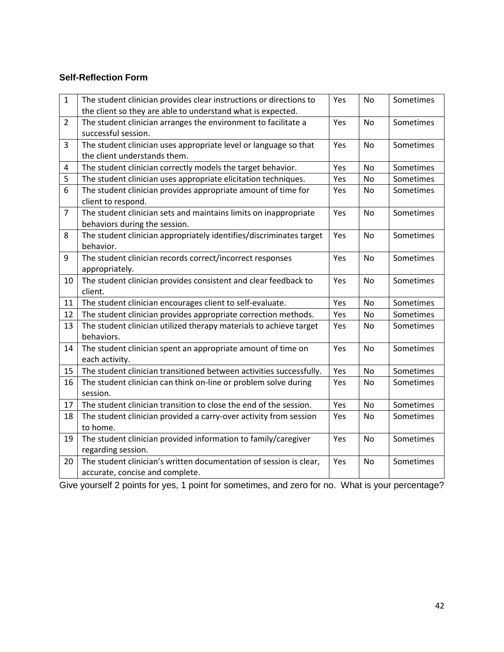## **Self-Reflection Form**

| $\mathbf{1}$   | The student clinician provides clear instructions or directions to<br>the client so they are able to understand what is expected. | Yes | <b>No</b> | Sometimes |
|----------------|-----------------------------------------------------------------------------------------------------------------------------------|-----|-----------|-----------|
|                |                                                                                                                                   |     |           |           |
| $\overline{2}$ | The student clinician arranges the environment to facilitate a                                                                    | Yes | <b>No</b> | Sometimes |
|                | successful session.                                                                                                               |     |           |           |
| 3              | The student clinician uses appropriate level or language so that                                                                  | Yes | <b>No</b> | Sometimes |
|                | the client understands them.                                                                                                      |     |           |           |
| 4              | The student clinician correctly models the target behavior.                                                                       | Yes | No        | Sometimes |
| 5              | The student clinician uses appropriate elicitation techniques.                                                                    | Yes | <b>No</b> | Sometimes |
| 6              | The student clinician provides appropriate amount of time for                                                                     | Yes | <b>No</b> | Sometimes |
|                | client to respond.                                                                                                                |     |           |           |
| $\overline{7}$ | The student clinician sets and maintains limits on inappropriate                                                                  | Yes | <b>No</b> | Sometimes |
|                | behaviors during the session.                                                                                                     |     |           |           |
| 8              | The student clinician appropriately identifies/discriminates target                                                               | Yes | <b>No</b> | Sometimes |
|                | behavior.                                                                                                                         |     |           |           |
| 9              | The student clinician records correct/incorrect responses                                                                         | Yes | <b>No</b> | Sometimes |
|                | appropriately.                                                                                                                    |     |           |           |
| 10             | The student clinician provides consistent and clear feedback to                                                                   | Yes | <b>No</b> | Sometimes |
|                | client.                                                                                                                           |     |           |           |
| 11             | The student clinician encourages client to self-evaluate.                                                                         | Yes | <b>No</b> | Sometimes |
| 12             | The student clinician provides appropriate correction methods.                                                                    | Yes | No        | Sometimes |
| 13             | The student clinician utilized therapy materials to achieve target                                                                | Yes | No        | Sometimes |
|                | behaviors.                                                                                                                        |     |           |           |
| 14             | The student clinician spent an appropriate amount of time on                                                                      | Yes | <b>No</b> | Sometimes |
|                | each activity.                                                                                                                    |     |           |           |
| 15             | The student clinician transitioned between activities successfully.                                                               | Yes | No        | Sometimes |
| 16             | The student clinician can think on-line or problem solve during                                                                   | Yes | No        | Sometimes |
|                | session.                                                                                                                          |     |           |           |
| 17             | The student clinician transition to close the end of the session.                                                                 | Yes | <b>No</b> | Sometimes |
| 18             | The student clinician provided a carry-over activity from session                                                                 | Yes | No        | Sometimes |
|                | to home.                                                                                                                          |     |           |           |
| 19             | The student clinician provided information to family/caregiver                                                                    | Yes | <b>No</b> | Sometimes |
|                | regarding session.                                                                                                                |     |           |           |
| 20             | The student clinician's written documentation of session is clear,                                                                | Yes | No        | Sometimes |
|                | accurate, concise and complete.                                                                                                   |     |           |           |

<span id="page-41-0"></span>Give yourself 2 points for yes, 1 point for sometimes, and zero for no. What is your percentage?